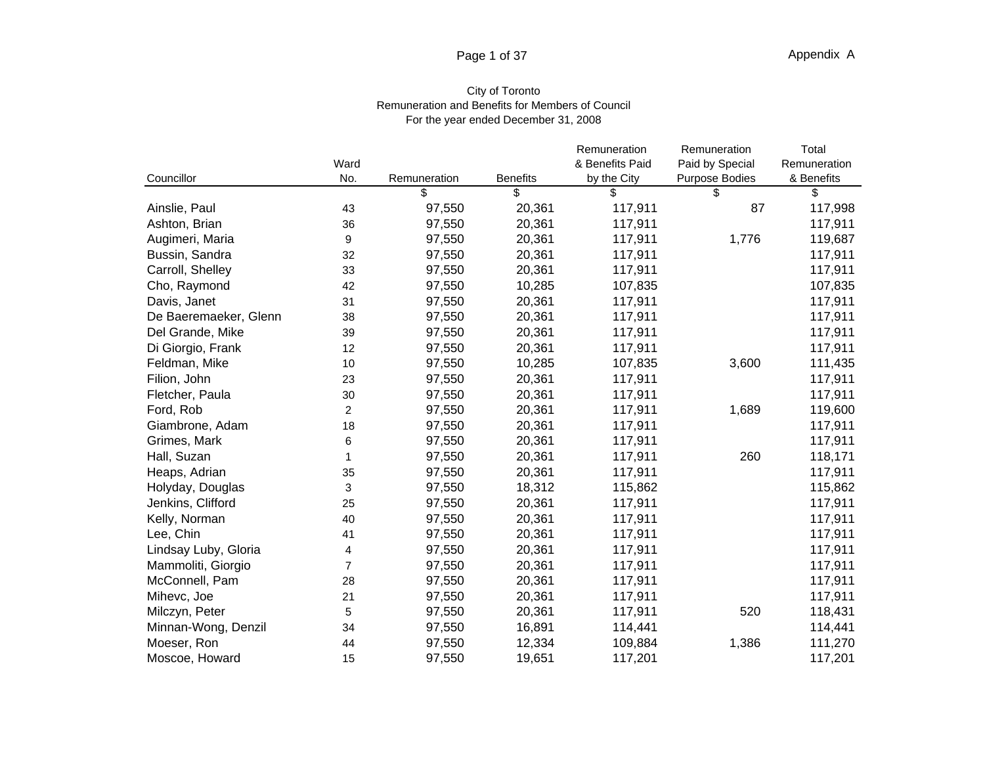#### Page 1 of 37 Page 1 of 37 **Appendix A** Appendix A

## City of Toronto Remuneration and Benefits for Members of Council For the year ended December 31, 2008

|                       |      |              |                 | Remuneration    | Remuneration    | Total        |
|-----------------------|------|--------------|-----------------|-----------------|-----------------|--------------|
|                       | Ward |              |                 | & Benefits Paid | Paid by Special | Remuneration |
| Councillor            | No.  | Remuneration | <b>Benefits</b> | by the City     | Purpose Bodies  | & Benefits   |
|                       |      |              | - \$            | - S             | - \$            |              |
| Ainslie, Paul         | 43   | 97,550       | 20,361          | 117,911         | 87              | 117,998      |
| Ashton, Brian         | 36   | 97,550       | 20,361          | 117,911         |                 | 117,911      |
| Augimeri, Maria       |      | 97,550       | 20,361          | 117,911         | 1,776           | 119,687      |
| Bussin, Sandra        | 32   | 97,550       | 20,361          | 117,911         |                 | 117,911      |
| Carroll, Shelley      | 33   | 97,550       | 20,361          | 117,911         |                 | 117,911      |
| Cho, Raymond          | 42   | 97,550       | 10,285          | 107,835         |                 | 107,835      |
| Davis, Janet          | 31   | 97,550       | 20,361          | 117,911         |                 | 117,911      |
| De Baeremaeker, Glenn | 38   | 97,550       | 20,361          | 117,911         |                 | 117,911      |
| Del Grande, Mike      | 39   | 97,550       | 20,361          | 117,911         |                 | 117,911      |
| Di Giorgio, Frank     | 12   | 97,550       | 20,361          | 117,911         |                 | 117,911      |
| Feldman, Mike         | 10   | 97,550       | 10,285          | 107,835         | 3,600           | 111,435      |
| Filion, John          | 23   | 97,550       | 20,361          | 117,911         |                 | 117,911      |
| Fletcher, Paula       | 30   | 97,550       | 20,361          | 117,911         |                 | 117,911      |
| Ford, Rob             |      | 97,550       | 20,361          | 117,911         | 1,689           | 119,600      |
| Giambrone, Adam       | 18   | 97,550       | 20,361          | 117,911         |                 | 117,911      |
| Grimes, Mark          |      | 97,550       | 20,361          | 117,911         |                 | 117,911      |
| Hall, Suzan           |      | 97,550       | 20,361          | 117,911         | 260             | 118,171      |
| Heaps, Adrian         | 35   | 97,550       | 20,361          | 117,911         |                 | 117,911      |
| Holyday, Douglas      | ່າ   | 97,550       | 18,312          | 115,862         |                 | 115,862      |
| Jenkins, Clifford     | 25   | 97,550       | 20,361          | 117,911         |                 | 117,911      |
| Kelly, Norman         | 40   | 97,550       | 20,361          | 117,911         |                 | 117,911      |
| Lee, Chin             | 41   | 97,550       | 20,361          | 117,911         |                 | 117,911      |
| Lindsay Luby, Gloria  |      | 97,550       | 20,361          | 117,911         |                 | 117,911      |
| Mammoliti, Giorgio    |      | 97,550       | 20,361          | 117,911         |                 | 117,911      |
| McConnell, Pam        | 28   | 97,550       | 20,361          | 117,911         |                 | 117,911      |
| Mihevc, Joe           | 21   | 97,550       | 20,361          | 117,911         |                 | 117,911      |
| Milczyn, Peter        |      | 97,550       | 20,361          | 117,911         | 520             | 118,431      |
| Minnan-Wong, Denzil   | 34   | 97,550       | 16,891          | 114,441         |                 | 114,441      |
| Moeser, Ron           | 44   | 97,550       | 12,334          | 109,884         | 1.386           | 111,270      |
| Moscoe, Howard        | 15   | 97,550       | 19,651          | 117,201         |                 | 117,201      |
|                       |      |              |                 |                 |                 |              |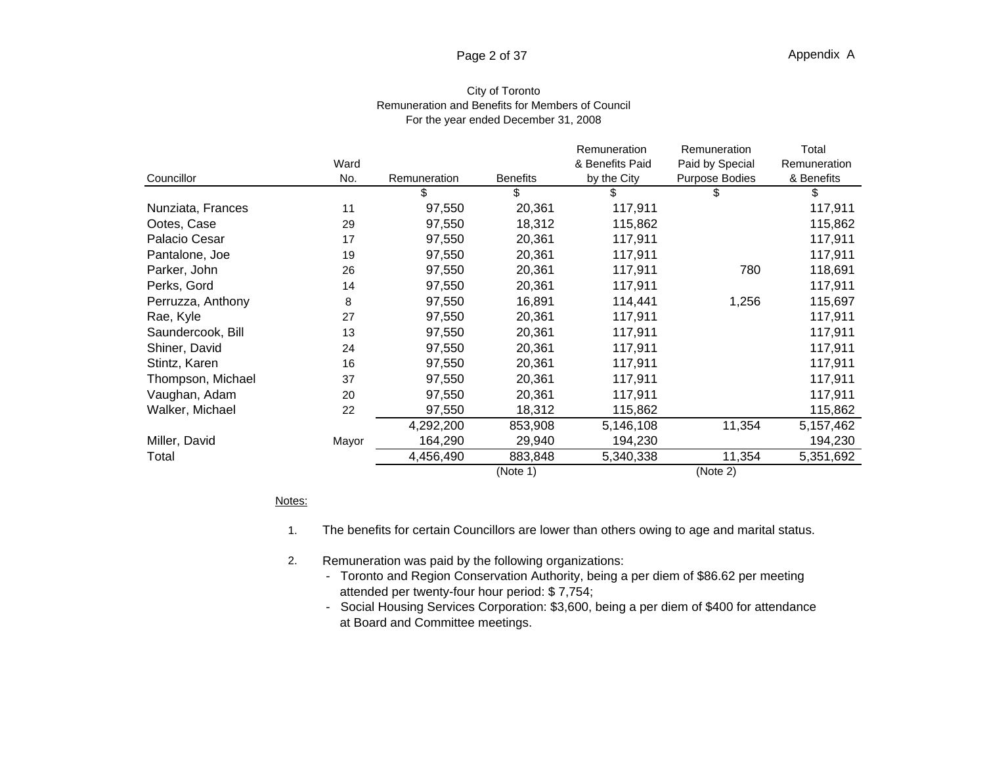#### Page 2 of 37 Page 2 of 37 **Appendix A** Appendix A

## City of Toronto Remuneration and Benefits for Members of Council For the year ended December 31, 2008

|                   |       |              |                 | Remuneration    | Remuneration    | Total        |
|-------------------|-------|--------------|-----------------|-----------------|-----------------|--------------|
|                   | Ward  |              |                 | & Benefits Paid | Paid by Special | Remuneration |
| Councillor        | No.   | Remuneration | <b>Benefits</b> | by the City     | Purpose Bodies  | & Benefits   |
|                   |       |              |                 |                 |                 |              |
| Nunziata, Frances | 11    | 97,550       | 20,361          | 117,911         |                 | 117,911      |
| Ootes, Case       | 29    | 97,550       | 18,312          | 115,862         |                 | 115,862      |
| Palacio Cesar     | 17    | 97,550       | 20,361          | 117,911         |                 | 117,911      |
| Pantalone, Joe    | 19    | 97,550       | 20,361          | 117,911         |                 | 117,911      |
| Parker, John      | 26    | 97,550       | 20,361          | 117,911         | 780             | 118,691      |
| Perks, Gord       | 14    | 97,550       | 20,361          | 117,911         |                 | 117,911      |
| Perruzza, Anthony |       | 97,550       | 16,891          | 114,441         | 1,256           | 115,697      |
| Rae, Kyle         | 27    | 97,550       | 20,361          | 117,911         |                 | 117,911      |
| Saundercook, Bill | 13    | 97,550       | 20,361          | 117,911         |                 | 117,911      |
| Shiner, David     | 24    | 97,550       | 20,361          | 117,911         |                 | 117,911      |
| Stintz, Karen     | 16    | 97,550       | 20,361          | 117,911         |                 | 117,911      |
| Thompson, Michael | 37    | 97,550       | 20,361          | 117,911         |                 | 117,911      |
| Vaughan, Adam     | 20    | 97,550       | 20,361          | 117,911         |                 | 117,911      |
| Walker, Michael   | 22    | 97,550       | 18,312          | 115,862         |                 | 115,862      |
|                   |       | 4,292,200    | 853,908         | 5,146,108       | 11,354          | 5,157,462    |
| Miller, David     | Mayor | 164,290      | 29,940          | 194,230         |                 | 194,230      |
| Total             |       | 4,456,490    | 883,848         | 5,340,338       | 11,354          | 5,351,692    |
|                   |       |              | (Note 1)        |                 | (Note 2)        |              |

### <u>Notes:</u> which is a set of the set of the set of the set of the set of the set of the set of the set of the set of the set of the set of the set of the set of the set of the set of the set of the set of the set of the set

- 1. The benefits for certain Councillors are lower than others owing to age and marital status.
- 2. Remuneration was paid by the following organizations:
	- Toronto and Region Conservation Authority, being a per diem of \$86.62 per meeting attended per twenty-four hour period: \$ 7,754;
	- Social Housing Services Corporation: \$3,600, being a per diem of \$400 for attendance at Board and Committee meetings.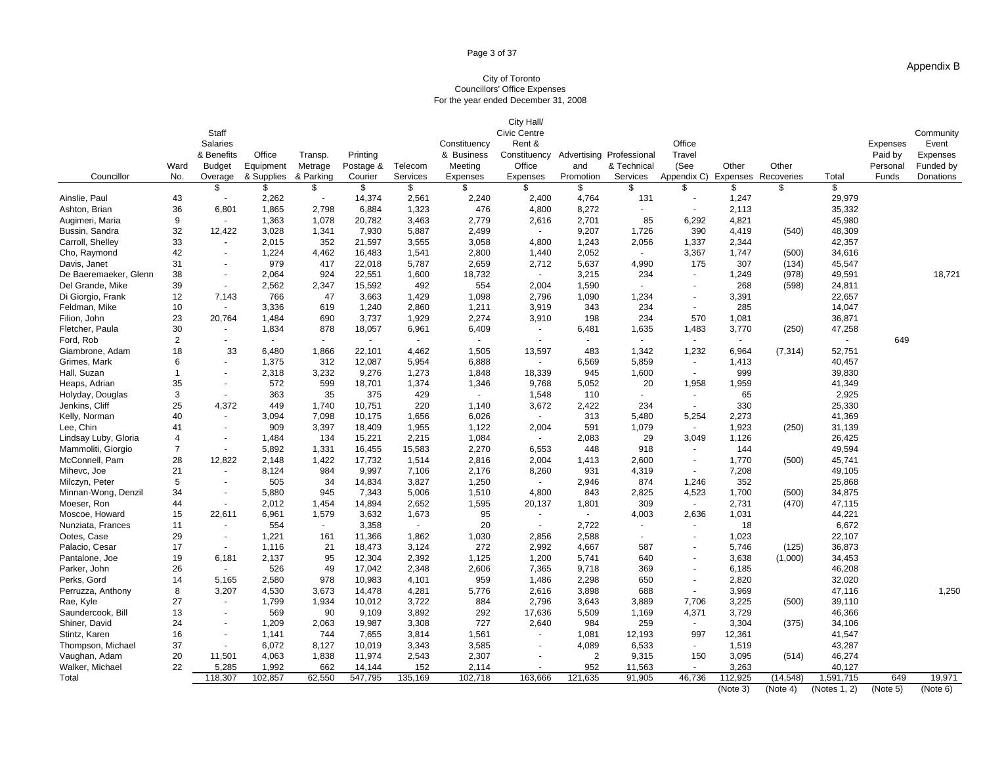#### Page 3 of 37

### City of Toronto Councillors' Office Expenses For the year ended December 31, 2008

|                                            |                 |                          |                |            |                 |                        |                                                  | City Hall/          |                         |              |                                   |                |                |                  |                                                  |
|--------------------------------------------|-----------------|--------------------------|----------------|------------|-----------------|------------------------|--------------------------------------------------|---------------------|-------------------------|--------------|-----------------------------------|----------------|----------------|------------------|--------------------------------------------------|
|                                            |                 | Staff                    |                |            |                 |                        |                                                  | <b>Civic Centre</b> |                         |              |                                   |                |                |                  | Community                                        |
|                                            |                 | Salaries                 |                |            |                 |                        | Constituency                                     | Rent &              |                         |              | Office                            |                |                |                  | Expenses Event                                   |
|                                            |                 | & Benefits               | Office         | Transp.    | Printing        |                        | & Business Constituency Advertising Professional |                     |                         |              | Travel                            |                |                |                  | Paid by<br>Expenses                              |
|                                            | Ward            | Budget                   | Equipment      | Metrage    |                 | Postage & Telecom      | Meeting                                          | Office              | and                     | & Technical  | (See                              | Other          | Other          |                  | Personal Funded by                               |
| Councillor                                 | No.             | Overage                  |                | & Parking  | Courier         | Services               | Expenses                                         | Expenses            | Promotion               | Services     | Appendix C) Expenses Recoveries   |                |                | Total            | Funds Donations                                  |
|                                            | 43              |                          |                |            |                 | 2,561                  | 2,240                                            | 2,400               | 4,764                   | 131          |                                   |                |                |                  |                                                  |
| Ainslie, Paul<br>Ashton, Brian             | 36              | $\sim 100$<br>6,801      | 2,262<br>1,865 | 2,798      | 14,374<br>6,884 | 1,323                  | 476                                              | 4,800               | 8,272                   |              | <b>Contract Contract</b>          | 1,247<br>2,113 |                | 29,979<br>35,332 |                                                  |
|                                            |                 |                          | 1,363          | 1,078      | 20,782          | 3,463                  | 2,779                                            | 2,616               | 2,701                   | 85           | 6,292                             | 4,821          |                | 45,980           |                                                  |
| Augimeri, Maria                            | 32              | $\sim 100$<br>12,422     | 3,028          | 1,341      | 7,930           | 5,887                  | 2,499                                            |                     | 9,207                   | 1,726        | 390                               | 4,419          | (540)          | 48,309           |                                                  |
| Bussin, Sandra<br>Carroll, Shelley         | 33              | $\sim$ $-$               | 2,015          | 352        | 21.597          | 3,555                  | 3,058                                            | 4,800               | 1,243                   | 2,056        | 1,337                             | 2,344          |                | 42,357           |                                                  |
| Cho, Raymond                               | 42              | $\sim 100$               | 1,224          | 4,462      | 16,483          | 1,541                  | 2,800                                            | 1,440               | 2,052                   | $\sim 100$   | 3,367                             | 1,747          | (500)          | 34,616           |                                                  |
| Davis, Janet                               | 31              | $\sim$ $-$               | 979            | 417        |                 | 5,787                  | 2,659                                            | 2,712               | 5,637                   | 4,990        | 175                               | 307            | (134)          | 45,547           |                                                  |
| De Baeremaeker, Glenn                      | 38              |                          | 2.064          | 924        | 22.551          | 1,600                  | 18.732                                           | $\sim$ $-$          | 3.215                   | 234          | <b>Contract Contract</b>          | 1,249          | (978)          | 49,591           | 18,721                                           |
| Del Grande, Mike                           | -39             | $\sim$ 100 $\pm$         | 2.562          | 2.347      | 15,592          | 492                    | 554                                              | 2,004               | 1,590                   |              |                                   | 268            | (598)          | 24,811           |                                                  |
| Di Giorgio, Frank                          | 12              | 7,143                    | 766            | 47         | 3,663           | 1,429                  | 1,098                                            | 2,796               | 1,090                   | 1,234        |                                   | 3,391          |                | 22,657           |                                                  |
| Feldman, Mike                              | 10 <sup>1</sup> | $\sim$ 100 $\sim$        | 3,336          | 619        | 1,240           | 2,860                  | 1,211                                            | 3,919               | 343                     | 234          |                                   | 285            |                | 14,047           |                                                  |
| Filion, John                               | 23              | 20.764                   | 1.484          | 690        | 3,737           | 1,929                  | 2,274                                            | 3,910               | 198                     | 234          | 570                               | 1,081          |                | 36,871           |                                                  |
| Fletcher, Paula                            | 30              |                          | 1,834          | 878        | 18,057          | 6,961                  | 6,409                                            | $\sim$ $-$          | 6,481                   | 1,635        | 1,483                             | 3,770          | (250)          | 47,258           |                                                  |
| Ford, Rob                                  |                 | $\sim$ 100 $\pm$         |                |            |                 | <b>Contract</b>        |                                                  |                     |                         |              |                                   |                |                | $\sim$ 100 $\mu$ | 649                                              |
| Giambrone, Adam                            | 18              | 33                       | 6480           | 1.866      |                 | 4,462                  | 1.505                                            | 13,597              | 483                     | 1,342        | 1,232                             | 6,964          | (7, 314)       | 52,751           |                                                  |
| Grimes, Mark                               |                 | $\sim 100$               | 1,375          | 312        | 12,087          | 5,954                  | 6,888                                            |                     | 6,569                   | 5,859        |                                   | 1,413          |                | 40,457           |                                                  |
| Hall, Suzan                                |                 | <b>Contract Contract</b> | 2,318          | 3,232      | 9,276           | 1,273                  | 1,848                                            | 18,339              | 945                     | 1,600        | <b>Contract Contract</b>          | 999            |                | 39,830           |                                                  |
| Heaps, Adrian                              | 35              | $\sim 100$ km s $^{-1}$  | 572            | 599        | 18,701          | 1,374                  | 1,346                                            | 9,768               | 5,052                   | 20           | 1,958                             | 1,959          |                | 41,349           |                                                  |
| Holyday, Douglas                           |                 | $\sim 100$               | 363            | 35         | 375             | 429                    |                                                  | 1,548               | 110                     |              |                                   | 65             |                | 2,925            |                                                  |
| Jenkins, Cliff                             | 25              | 4,372                    | 449            | 1,740      | 10,751          | 220                    | 1,140                                            | 3,672               | 2,422                   | 234          |                                   | 330            |                | 25,330           |                                                  |
| Kelly, Norman                              | 40              |                          | 3.094          | 7,098      | 10,175          | 1,656                  | 6,026                                            |                     | 313                     | 5,480        | 5,254                             | 2,273          |                | 41,369           |                                                  |
| Lee, Chin                                  | 41              |                          | 909            | 3,397      | 18,409          | 1,955                  | 1,122                                            | 2,004               | 591                     | 1,079        |                                   | 1,923          | (250)          | 31,139           |                                                  |
| Lindsay Luby, Gloria<br>Mammoliti, Giorgio |                 | $\sim$ 100 $\sim$        | 1.484          | 134        | 15,221          | 2,215                  | 1,084                                            | $\sim$              | 2,083                   | 29           | 3,049                             | 1,126          |                | 26,425           |                                                  |
|                                            |                 | $\sim 100$               | 5,892          | 1.331      | 16.455          | 15,583                 | 2,270                                            | 6,553               | 448                     | 918          |                                   | 144            |                | 49,594           |                                                  |
| McConnell, Pam                             | 28              | 12,822                   | 2,148          | 1,422      | 17,732          | 1,514                  | 2,816                                            | 2,004               | 1,413                   | 2,600        | $\sim 100$                        | 1,770          | (500)          | 45,741           |                                                  |
| Mihevc, Joe                                | 21              | $\sim$ 100 $\sim$        | 8,124<br>505   | 984<br>.34 | 9,997           | 7,106                  | 2,176                                            | 8,260               | 931<br>2.946            | 4,319        |                                   | 7,208          |                | 49,105           |                                                  |
| Milczyn, Peter<br>Minnan-Wong, Denzil      |                 |                          | 5.880          | 945        | 14.834<br>7,343 | 3,827<br>5,006         | 1,250<br>1,510                                   | $\sim$ $-$<br>4,800 | 843                     | 874<br>2,825 | 1,246<br>4,523                    | 352<br>1,700   |                | 25,868<br>34,875 |                                                  |
| Moeser, Ron                                | 44              | <b>Contract</b>          | 2,012          | 1,454      | 14,894          | 2,652                  | 1,595                                            | 20,137              | 1,801                   | 309          | $\sim 100$ km s $^{-1}$           | 2,731          | (500)<br>(470) | 47,115           |                                                  |
| Moscoe, Howard                             | 15              | 22,611                   | 6.961          | 1,579      | 3,632           | 1,673                  | 95                                               |                     |                         | 4,003        | 2,636                             | 1,031          |                | 44,221           |                                                  |
| Nunziata, Frances                          | 11              |                          | 554            |            | 3,358           |                        | - 20                                             |                     | 2,722                   |              |                                   | 18             |                | 6,672            |                                                  |
| Ootes, Case                                | 29              | $\sim$ 100 $\pm$         | 1,221          | 161        | 11,366          | 1,862                  | 1,030                                            | 2,856               | 2,588                   |              |                                   | 1,023          |                | 22,107           |                                                  |
| Palacio, Cesar                             | 17              | $\sim 100$               | 1,116          | 21         | 18,473          | 3,124                  | 272                                              | 2,992               | 4,667                   | 587          |                                   | 5,746          | (125)          | 36,873           |                                                  |
| Pantalone, Joe                             | 19              | 6,181                    | 2.137          | 95         | 12,304          | 2,392                  | 1,125                                            | 1,200               | 5,741                   | 640          |                                   | 3,638          | (1,000)        | 34,453           |                                                  |
| Parker, John                               | 26              | $\sim 100$               | 526            | 49         | 17,042          | 2,348                  | 2,606                                            | 7,365               | 9,718                   | 369          | <b>Contract Contract</b>          | 6,185          |                | 46,208           |                                                  |
| Perks, Gord                                | 14              | 5,165                    | 2,580          | 978        | 10,983          | 4,101                  | 959                                              | 1,486               | 2,298                   | 650          | <b>Contract Contract</b>          | 2,820          |                | 32,020           |                                                  |
| Perruzza, Anthony                          |                 | 3,207                    | 4,530          | 3,673      | 14,478          | 4,281                  | 5,776                                            | 2,616               | 3,898                   | 688          | $\sim 100$ m $^{-1}$              | 3,969          |                | 47,116           | 1,250                                            |
| Rae, Kyle                                  | 27              | $\sim$ 100 $\sim$        | 799,ا          | 1,934      | 10,012          | 3,722                  | 884                                              | 2,796               | 3,643                   | 3,889        | 7,706                             | 3,225          | (500)          | 39,110           |                                                  |
| Saundercook, Bill                          | 13              |                          | 569            | 90         | 9,109           | 3,892                  | 292                                              | 17,636              | 5,509                   | 1,169        | 4,371                             | 3,729          |                | 46,366           |                                                  |
| Shiner, David                              |                 |                          | 1.209          | 2,063      | 19,987          | 3,308                  | 727                                              | 2,640               | 984                     | 259          |                                   | 3,304          | (375)          | 34,106           |                                                  |
| Stintz, Karen                              | 16              | $\sim$                   | 1,141          | 744        | 7,655           | 3,814                  | 1,561                                            | $\sim$ $-$          | 1,081                   | 12,193       | 997                               | 12,361         |                | 41,547           |                                                  |
| Thompson, Michael                          | 37              | $\sim 100$               | 6.072          | 8.127      | 10,019          | 3,343                  | 3,585                                            | $\sim 100$          | 4,089                   | 6,533        | $\sim 100$ km s $^{-1}$           | 1,519          |                | 43,287           |                                                  |
| Vaughan, Adam                              | 20              | 11,501                   | 4,063          | 1,838      | 11,974          | 2,543                  | 2,307                                            | $\sim$ $-$          | $\overline{\mathbf{2}}$ | 9,315        | 150                               | 3,095          | (514)          | 46,274           |                                                  |
| Walker, Michael                            | 22              | 5,285                    | 1.992          | 662        | 14.144          | 152                    | 2.114                                            |                     | 952                     | 11.563       |                                   | 3.263          |                | 40.127           |                                                  |
| Total                                      |                 | 118,307  102,857         |                |            |                 | 62,550 547,795 135,169 | 102,718                                          | 163,666 121,635     |                         | 91,905       | 46,736 112,925 (14,548) 1,591,715 |                |                |                  | 649 19,971                                       |
|                                            |                 |                          |                |            |                 |                        |                                                  |                     |                         |              |                                   |                |                |                  | (Note 3) (Note 4) (Notes 1, 2) (Note 5) (Note 6) |

Appendix B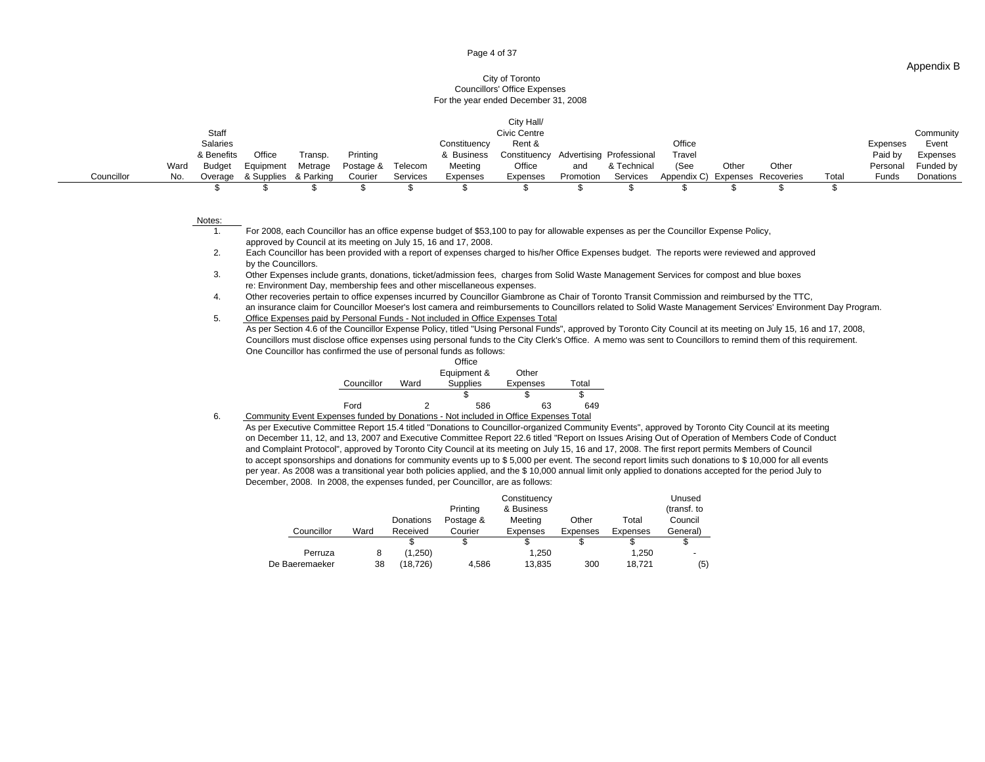#### Page 4 of 37

### City of Toronto Councillors' Office Expenses For the year ended December 31, 2008

|                                                          |                     | Civic Centre                                            |                                                                   | Community                              |
|----------------------------------------------------------|---------------------|---------------------------------------------------------|-------------------------------------------------------------------|----------------------------------------|
|                                                          | <b>Constituency</b> | Rent &                                                  |                                                                   | xpenses Event                          |
| & Benefits Office Transp. Printing                       |                     | & Business Constituency Advertising Professional Travel |                                                                   | Paid by Expenses<br>Personal Funded by |
| Ward Budget Equipment Metrage Postage & Telecom          | Meeting             | Office                                                  | and & Technical (See Other Other                                  |                                        |
| o Overage & Supplies & Parking Courier Services Expenses |                     |                                                         | Expenses Promotion Services Appendix C) Expenses Recoveries Total | Funds Donations                        |
|                                                          |                     |                                                         |                                                                   |                                        |

#### Notes:

1. For 2008, each Councillor has an office expense budget of \$53,100 to pay for allowable expenses as per the Councillor Expense Policy, approved by Council at its meeting on July 15, 16 and 17, 2008.

2. Each Councillor has been provided with a report of expenses charged to his/her Office Expenses budget. The reports were reviewed and approved by the Councillors. The contract of the contract of the contract of the council of the Council or the Council or the contract of the council or the council or the council or the council or the council or the council or the

3. Other Expenses include grants, donations, ticket/admission fees, charges from Solid Waste Management Services for compost and blue boxes re: Environment Day, membership fees and other miscellaneous expenses.

4. Other recoveries pertain to office expenses incurred by Councillor Giambrone as Chair of Toronto Transit Commission and reimbursed by the TTC, an insurance claim for Councillor Moeser's lost camera and reimbursements to Councillors related to Solid Waste Management Services' Environment Day Program.

5. Office Expenses paid by Personal Funds - Not included in Office Expenses Total

Councillors must disclose office expenses using personal funds to the City Clerk's Office. A memo was sent to Councillors to remind them of this requirement. One Councillor has confirmed the use of personal funds as follows: As per Section 4.6 of the Councillor Expense Policy, titled "Using Personal Funds", approved by Toronto City Council at its meeting on July 15, 16 and 17, 2008,

|                 | Office                                       |    |     |
|-----------------|----------------------------------------------|----|-----|
|                 |                                              |    |     |
| Councillor Ward | Equipment & Other<br>Supplies Expenses Total |    |     |
|                 |                                              |    |     |
| Ford            | 586                                          | 63 | 649 |

6. Community Event Expenses funded by Donations - Not included in Office Expenses Total

 December, 2008. In 2008, the expenses funded, per Councillor, are as follows: As per Executive Committee Report 15.4 titled "Donations to Councillor-organized Community Events", approved by Toronto City Council at its meeting on December 11, 12, and 13, 2007 and Executive Committee Report 22.6 titled "Report on Issues Arising Out of Operation of Members Code of Conduct to accept sponsorships and donations for community events up to \$ 5,000 per event. The second report limits such donations to \$ 10,000 for all events per year. As 2008 was a transitional year both policies applied, and the \$ 10,000 annual limit only applied to donations accepted for the period July to and Complaint Protocol", approved by Toronto City Council at its meeting on July 15, 16 and 17, 2008. The first report permits Members of Council

|                |      |           |           | Constituency |          |          | Unused      |
|----------------|------|-----------|-----------|--------------|----------|----------|-------------|
|                |      |           | Printing  | & Business   |          |          | (transf. to |
|                |      | Donations | Postage & | Meeting      | Other    | Total    | Council     |
| Councillor     | Ward | Received  | Courier   | Expenses     | Expenses | Expenses | General)    |
|                |      |           |           |              |          |          |             |
| Perruza        |      | (1,250)   |           | 1,250        |          | 1,250    |             |
| De Baeremaeker | 38   | (18, 726) | 4,586     | 13,835       | 300      | 18,721   | (5)         |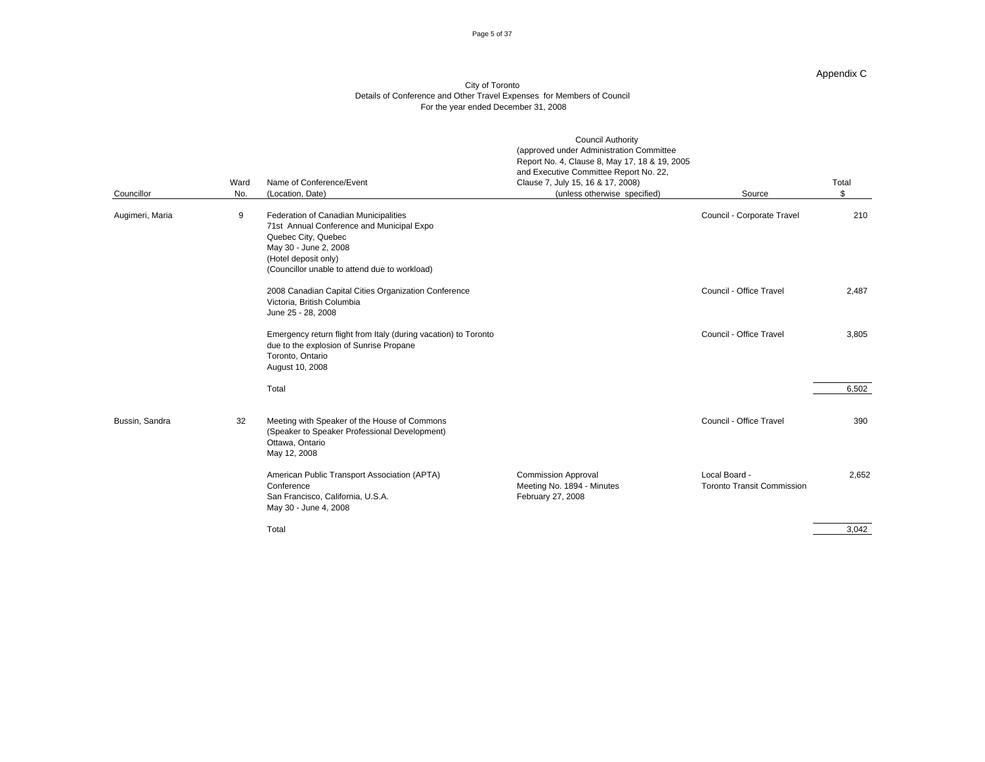#### Page 5 of 37

### Appendix C

|                 |    | Ward Name of Conference/Event<br>No. (Location, Date)                                                                                                                                                       | <b>Council Authority</b><br>(approved under Administration Committee<br>Report No. 4, Clause 8, May 17, 18 & 19, 2005<br>and Executive Committee Report No. 22,<br>Clause 7, July 15, 16 & 17, 2008) |                                                    | Total                                                             |
|-----------------|----|-------------------------------------------------------------------------------------------------------------------------------------------------------------------------------------------------------------|------------------------------------------------------------------------------------------------------------------------------------------------------------------------------------------------------|----------------------------------------------------|-------------------------------------------------------------------|
| Councillor      |    |                                                                                                                                                                                                             | (unless otherwise specified)                                                                                                                                                                         | Source                                             |                                                                   |
| Augimeri, Maria |    | Federation of Canadian Municipalities<br>71st Annual Conference and Municipal Expo<br>Quebec City, Quebec<br>May 30 - June 2, 2008<br>(Hotel deposit only)<br>(Councillor unable to attend due to workload) |                                                                                                                                                                                                      | Council - Corporate Travel                         | 210                                                               |
|                 |    | 2008 Canadian Capital Cities Organization Conference<br>Victoria, British Columbia<br>June 25 - 28, 2008                                                                                                    |                                                                                                                                                                                                      | Council - Office Travel                            | 2,487                                                             |
|                 |    | Emergency return flight from Italy (during vacation) to Toronto<br>due to the explosion of Sunrise Propane<br>Toronto, Ontario<br>August 10, 2008                                                           |                                                                                                                                                                                                      | Council - Office Travel                            | 3,805                                                             |
|                 |    | Total                                                                                                                                                                                                       |                                                                                                                                                                                                      |                                                    | 6,502                                                             |
| Bussin, Sandra  | 32 | Meeting with Speaker of the House of Commons<br>(Speaker to Speaker Professional Development)<br>Ottawa, Ontario<br>May 12, 2008                                                                            |                                                                                                                                                                                                      | Council - Office Travel                            | 390                                                               |
|                 |    | American Public Transport Association (APTA)<br>Conference<br>San Francisco, California, U.S.A.<br>May 30 - June 4, 2008                                                                                    | <b>Commission Approval</b><br>Meeting No. 1894 - Minutes<br>February 27, 2008                                                                                                                        | Local Board -<br><b>Toronto Transit Commission</b> | 2,652                                                             |
|                 |    | Total                                                                                                                                                                                                       |                                                                                                                                                                                                      |                                                    | <u> The Communication of the Communication</u><br>3,042<br>$\sim$ |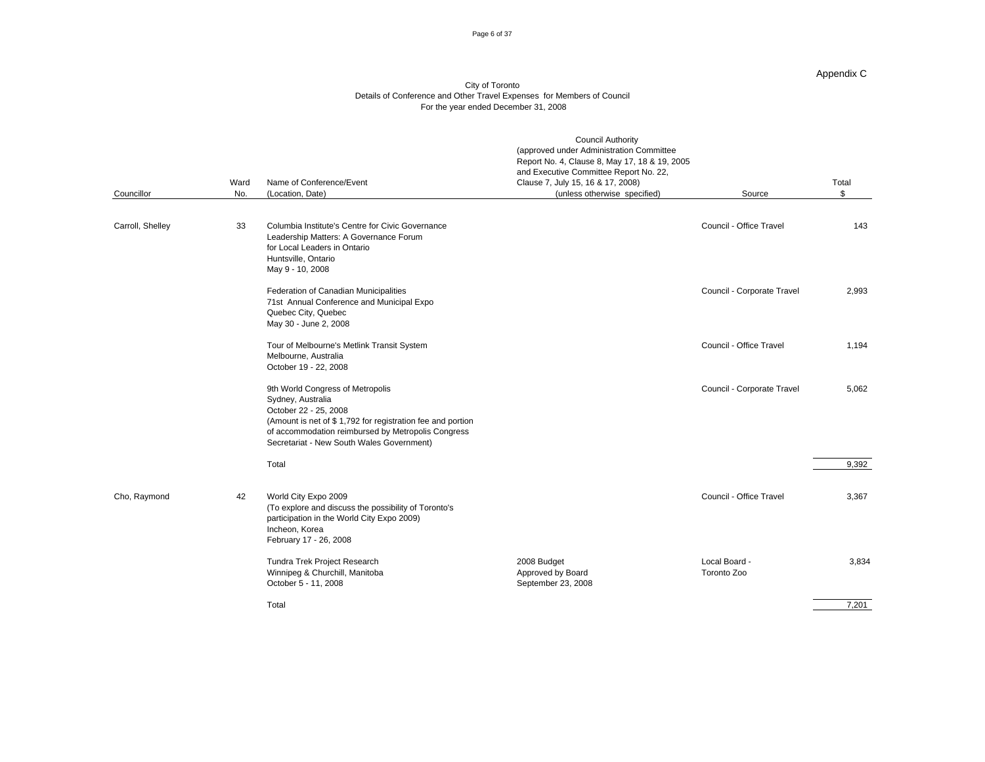#### Page 6 of 37

### Appendix C

|                  |    |                                                                                                                                                                                                                                                 | <b>Council Authority</b><br>(approved under Administration Committee<br>Report No. 4, Clause 8, May 17, 18 & 19, 2005<br>and Executive Committee Report No. 22, |                              |                     |
|------------------|----|-------------------------------------------------------------------------------------------------------------------------------------------------------------------------------------------------------------------------------------------------|-----------------------------------------------------------------------------------------------------------------------------------------------------------------|------------------------------|---------------------|
| Councillor       |    | Ward Name of Conference/Event<br>No. (Location, Date)                                                                                                                                                                                           | Clause 7, July 15, 16 & 17, 2008)<br>(unless otherwise specified)                                                                                               | Source                       | Total<br>$\sqrt{ }$ |
|                  |    |                                                                                                                                                                                                                                                 |                                                                                                                                                                 |                              |                     |
| Carroll, Shelley |    | 33 Columbia Institute's Centre for Civic Governance<br>Leadership Matters: A Governance Forum<br>for Local Leaders in Ontario<br>Huntsville, Ontario<br>May 9 - 10, 2008                                                                        |                                                                                                                                                                 | Council - Office Travel      | 143                 |
|                  |    | Federation of Canadian Municipalities<br>71st Annual Conference and Municipal Expo<br>Quebec City, Quebec<br>May 30 - June 2, 2008                                                                                                              |                                                                                                                                                                 | Council - Corporate Travel   | 2,993               |
|                  |    | Tour of Melbourne's Metlink Transit System<br>Melbourne, Australia<br>October 19 - 22, 2008                                                                                                                                                     |                                                                                                                                                                 | Council - Office Travel      | 1,194               |
|                  |    | 9th World Congress of Metropolis<br>Sydney, Australia<br>October 22 - 25, 2008<br>(Amount is net of \$1,792 for registration fee and portion<br>of accommodation reimbursed by Metropolis Congress<br>Secretariat - New South Wales Government) |                                                                                                                                                                 | Council - Corporate Travel   | 5,062               |
|                  |    | Total                                                                                                                                                                                                                                           |                                                                                                                                                                 |                              | 9,392               |
| Cho, Raymond     | 42 | World City Expo 2009<br>(To explore and discuss the possibility of Toronto's<br>participation in the World City Expo 2009)<br>Incheon. Korea<br>February 17 - 26, 2008                                                                          |                                                                                                                                                                 | Council - Office Travel      | 3,367               |
|                  |    | Tundra Trek Project Research<br>Winnipeg & Churchill, Manitoba<br>October 5 - 11, 2008                                                                                                                                                          | 2008 Budget<br>Approved by Board<br>September 23, 2008                                                                                                          | Local Board -<br>Toronto Zoo | 3,834               |
|                  |    | Total                                                                                                                                                                                                                                           |                                                                                                                                                                 |                              | 7,201               |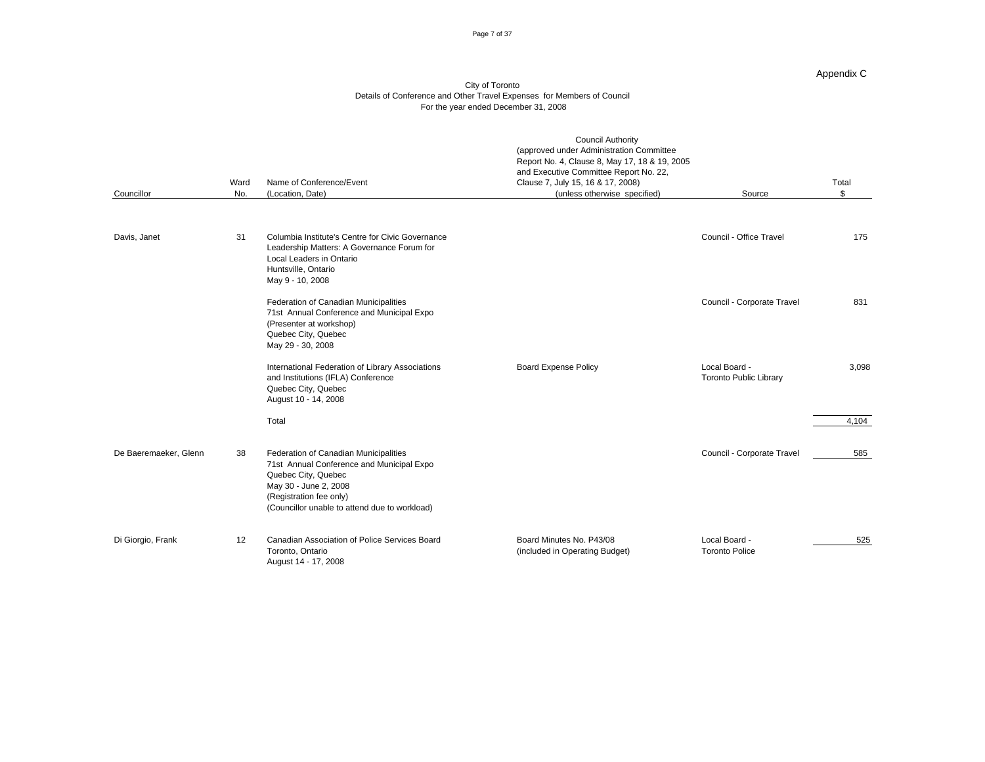#### Page 7 of 37

### Appendix C

| Councillor            |    | Ward Name of Conference/Event<br>No. (Location, Date)                                                                                                                                                          | <b>Council Authority</b><br>(approved under Administration Committee<br>Report No. 4, Clause 8, May 17, 18 & 19, 2005<br>and Executive Committee Report No. 22,<br>Clause 7, July 15, 16 & 17, 2008)<br>(unless otherwise specified) | Source                                  | Total |
|-----------------------|----|----------------------------------------------------------------------------------------------------------------------------------------------------------------------------------------------------------------|--------------------------------------------------------------------------------------------------------------------------------------------------------------------------------------------------------------------------------------|-----------------------------------------|-------|
| Davis, Janet          | 31 | Columbia Institute's Centre for Civic Governance<br>Leadership Matters: A Governance Forum for<br>Local Leaders in Ontario<br>Huntsville, Ontario<br>May 9 - 10, 2008                                          |                                                                                                                                                                                                                                      | Council - Office Travel                 | 175   |
|                       |    | Federation of Canadian Municipalities<br>71st Annual Conference and Municipal Expo<br>(Presenter at workshop)<br>Quebec City, Quebec<br>May 29 - 30, 2008                                                      |                                                                                                                                                                                                                                      | Council - Corporate Travel              | 831   |
|                       |    | International Federation of Library Associations<br>and Institutions (IFLA) Conference<br>Quebec City, Quebec<br>August 10 - 14, 2008                                                                          | <b>Board Expense Policy</b>                                                                                                                                                                                                          | Local Board -<br>Toronto Public Library | 3,098 |
|                       |    | Total                                                                                                                                                                                                          |                                                                                                                                                                                                                                      |                                         | 4,104 |
| De Baeremaeker, Glenn | 38 | Federation of Canadian Municipalities<br>71st Annual Conference and Municipal Expo<br>Quebec City, Quebec<br>May 30 - June 2, 2008<br>(Registration fee only)<br>(Councillor unable to attend due to workload) |                                                                                                                                                                                                                                      | Council - Corporate Travel              | 585   |
| Di Giorgio, Frank     |    | 12 Canadian Association of Police Services Board<br>Toronto, Ontario<br>August 14 - 17, 2008                                                                                                                   | Board Minutes No. P43/08<br>(included in Operating Budget)                                                                                                                                                                           | Local Board -<br><b>Toronto Police</b>  | 525   |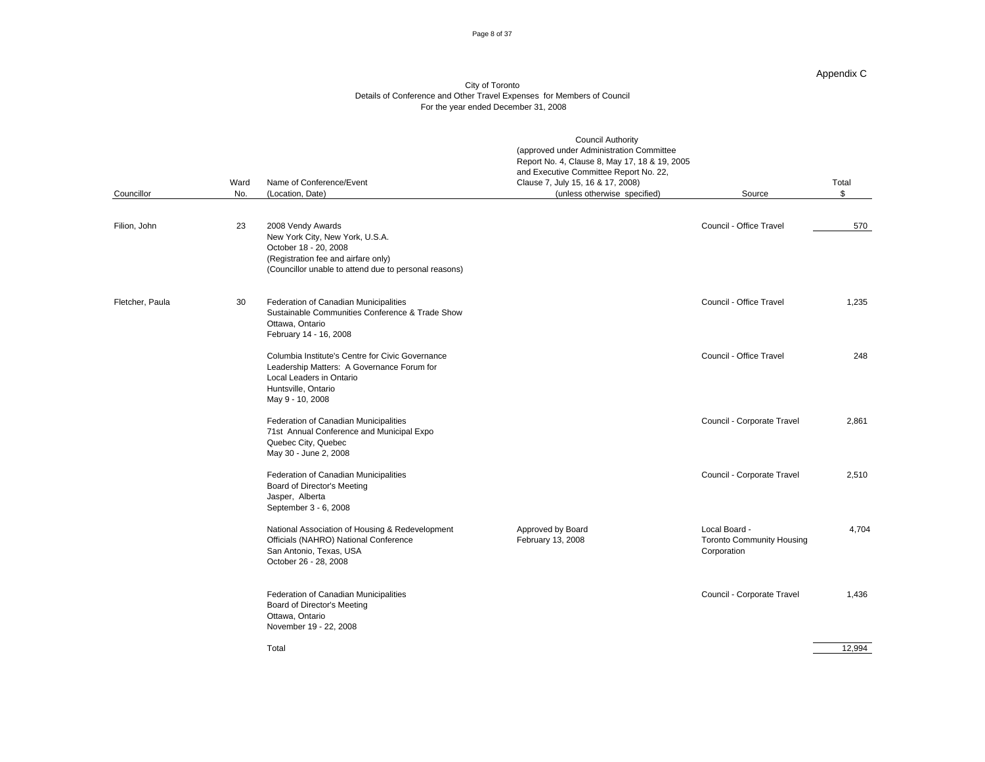#### Page 8 of 37

#### Appendix C

|                 |                 |                                                                                                                                                                                  | <b>Council Authority</b><br>(approved under Administration Committee<br>Report No. 4, Clause 8, May 17, 18 & 19, 2005<br>and Executive Committee Report No. 22, |                                                                  |                    |
|-----------------|-----------------|----------------------------------------------------------------------------------------------------------------------------------------------------------------------------------|-----------------------------------------------------------------------------------------------------------------------------------------------------------------|------------------------------------------------------------------|--------------------|
|                 |                 | Ward Name of Conference/Event                                                                                                                                                    | Clause 7, July 15, 16 & 17, 2008)                                                                                                                               |                                                                  | Total              |
| Councillor      |                 | No. (Location, Date)                                                                                                                                                             | (unless otherwise specified)                                                                                                                                    | Source                                                           |                    |
|                 |                 |                                                                                                                                                                                  |                                                                                                                                                                 |                                                                  |                    |
| Filion, John    |                 | 23 2008 Vendy Awards<br>New York City, New York, U.S.A.<br>October 18 - 20, 2008<br>(Registration fee and airfare only)<br>(Councillor unable to attend due to personal reasons) |                                                                                                                                                                 | Council - Office Travel                                          | 570                |
| Fletcher, Paula | 30 <sup>1</sup> | Federation of Canadian Municipalities<br>Sustainable Communities Conference & Trade Show<br>Ottawa, Ontario<br>February 14 - 16, 2008                                            |                                                                                                                                                                 | Council - Office Travel                                          | 1,235              |
|                 |                 | Columbia Institute's Centre for Civic Governance<br>Leadership Matters: A Governance Forum for<br>Local Leaders in Ontario<br>Huntsville, Ontario<br>May 9 - 10, 2008            |                                                                                                                                                                 | Council - Office Travel                                          | 248                |
|                 |                 | Federation of Canadian Municipalities<br>71st Annual Conference and Municipal Expo<br>Quebec City, Quebec<br>May 30 - June 2, 2008                                               |                                                                                                                                                                 | Council - Corporate Travel                                       | 2,861              |
|                 |                 | Federation of Canadian Municipalities<br>Board of Director's Meeting<br>Jasper, Alberta<br>September 3 - 6, 2008                                                                 |                                                                                                                                                                 | Council - Corporate Travel                                       | 2,510              |
|                 |                 | National Association of Housing & Redevelopment<br>Officials (NAHRO) National Conference<br>San Antonio, Texas, USA<br>October 26 - 28, 2008                                     | Approved by Board<br>February 13, 2008                                                                                                                          | Local Board -<br><b>Toronto Community Housing</b><br>Corporation | 4,704              |
|                 |                 | Federation of Canadian Municipalities<br>Board of Director's Meeting<br>Ottawa, Ontario<br>November 19 - 22, 2008                                                                |                                                                                                                                                                 | Council - Corporate Travel                                       | 1,436              |
|                 |                 | Total                                                                                                                                                                            |                                                                                                                                                                 |                                                                  | $\frac{12,994}{ }$ |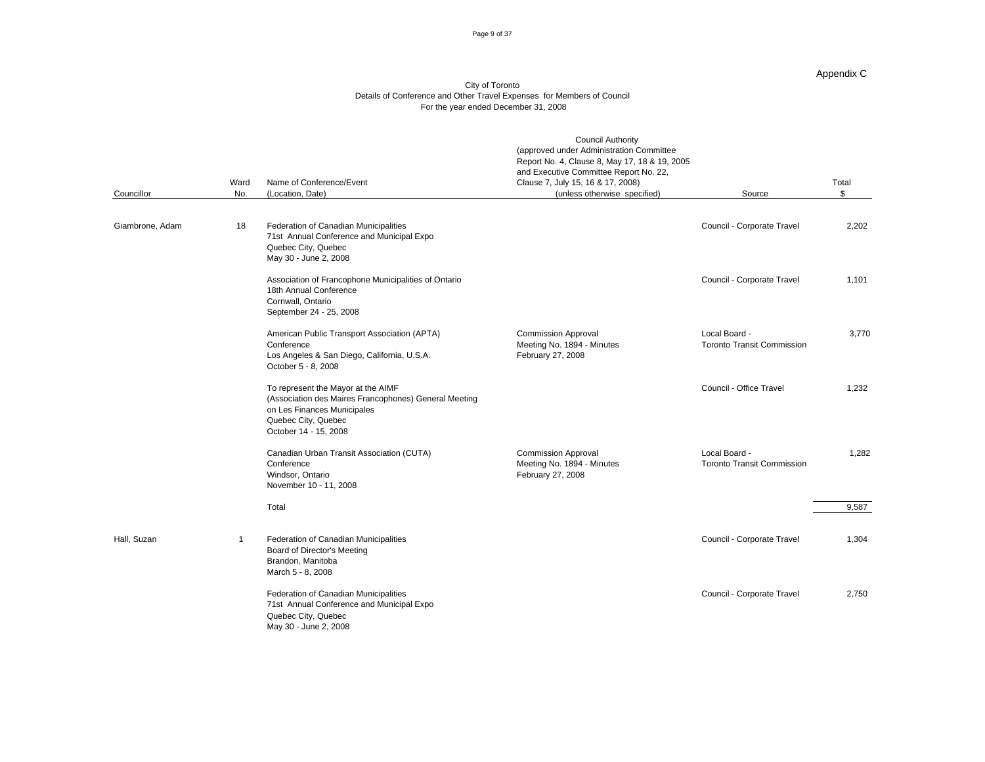#### Page 9 of 37

### Appendix C

| Councillor      | Ward Name of Conference/Event<br>No. (Location, Date)                                                                                                                      | <b>Council Authority</b><br>(approved under Administration Committee<br>Report No. 4, Clause 8, May 17, 18 & 19, 2005<br>and Executive Committee Report No. 22,<br>Clause 7, July 15, 16 & 17, 2008)<br>(unless otherwise specified) | Source                                             | Total |
|-----------------|----------------------------------------------------------------------------------------------------------------------------------------------------------------------------|--------------------------------------------------------------------------------------------------------------------------------------------------------------------------------------------------------------------------------------|----------------------------------------------------|-------|
| Giambrone, Adam | 18 Federation of Canadian Municipalities<br>71st Annual Conference and Municipal Expo                                                                                      |                                                                                                                                                                                                                                      | Council - Corporate Travel                         | 2,202 |
|                 | Quebec City, Quebec<br>May 30 - June 2, 2008                                                                                                                               |                                                                                                                                                                                                                                      |                                                    |       |
|                 | Association of Francophone Municipalities of Ontario<br>18th Annual Conference<br>Cornwall, Ontario<br>September 24 - 25, 2008                                             |                                                                                                                                                                                                                                      | Council - Corporate Travel                         | 1,101 |
|                 | American Public Transport Association (APTA)<br>Conference<br>Los Angeles & San Diego, California, U.S.A.<br>October 5 - 8, 2008                                           | <b>Commission Approval</b><br>Meeting No. 1894 - Minutes<br>February 27, 2008                                                                                                                                                        | Local Board -<br><b>Toronto Transit Commission</b> | 3,770 |
|                 | To represent the Mayor at the AIMF<br>(Association des Maires Francophones) General Meeting<br>on Les Finances Municipales<br>Quebec City, Quebec<br>October 14 - 15, 2008 |                                                                                                                                                                                                                                      | Council - Office Travel                            | 1,232 |
|                 | Canadian Urban Transit Association (CUTA)<br>Conference<br>Windsor, Ontario<br>November 10 - 11, 2008                                                                      | <b>Commission Approval</b><br>Meeting No. 1894 - Minutes<br>February 27, 2008                                                                                                                                                        | Local Board -<br><b>Toronto Transit Commission</b> | 1,282 |
|                 | Total                                                                                                                                                                      |                                                                                                                                                                                                                                      |                                                    | 9,587 |
| Hall, Suzan     | Federation of Canadian Municipalities<br>Board of Director's Meeting<br>Brandon, Manitoba<br>March 5 - 8, 2008                                                             |                                                                                                                                                                                                                                      | Council - Corporate Travel                         | 1.304 |
|                 | Federation of Canadian Municipalities<br>71st Annual Conference and Municipal Expo<br>Quebec City, Quebec<br>May 30 - June 2, 2008                                         |                                                                                                                                                                                                                                      | Council - Corporate Travel                         | 2,750 |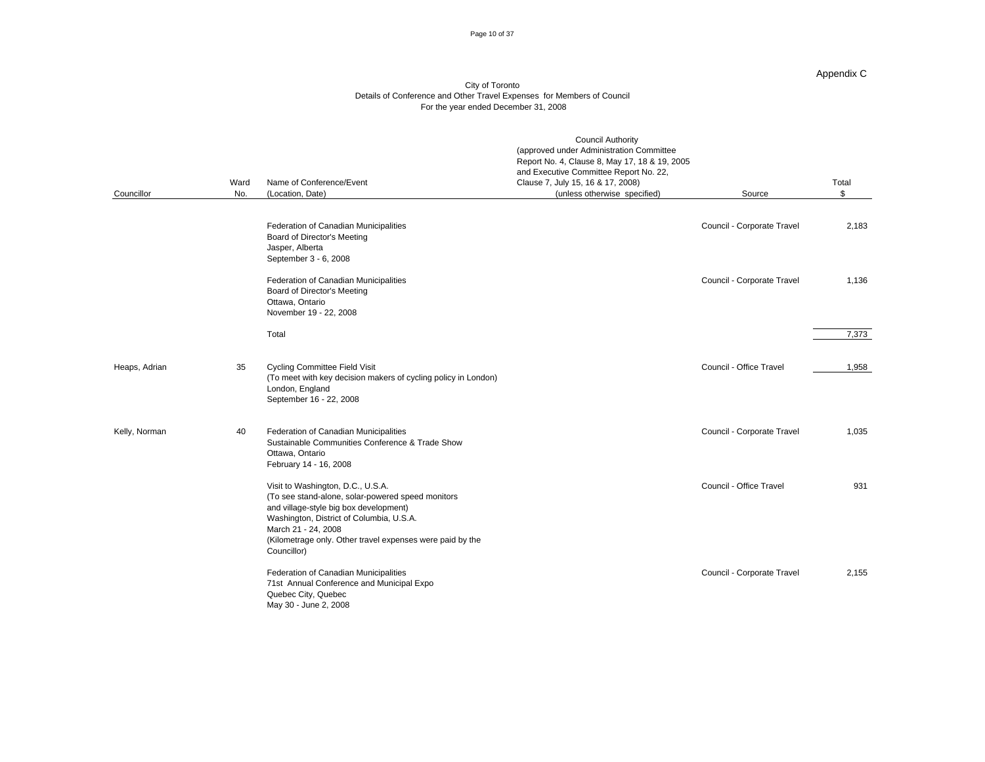#### Page 10 of 37

#### Appendix C

| Councillor    |    | Ward Name of Conference/Event<br>No. (Location, Date)                                                                                                                                                                                                                           | <b>Council Authority</b><br>(approved under Administration Committee<br>Report No. 4, Clause 8, May 17, 18 & 19, 2005<br>and Executive Committee Report No. 22,<br>Clause 7, July 15, 16 & 17, 2008)<br>(unless otherwise specified) | Source                     | Total             |
|---------------|----|---------------------------------------------------------------------------------------------------------------------------------------------------------------------------------------------------------------------------------------------------------------------------------|--------------------------------------------------------------------------------------------------------------------------------------------------------------------------------------------------------------------------------------|----------------------------|-------------------|
|               |    |                                                                                                                                                                                                                                                                                 |                                                                                                                                                                                                                                      |                            |                   |
|               |    | Federation of Canadian Municipalities<br>Board of Director's Meeting<br>Jasper, Alberta<br>September 3 - 6, 2008                                                                                                                                                                |                                                                                                                                                                                                                                      | Council - Corporate Travel | 2,183             |
|               |    | Federation of Canadian Municipalities<br>Board of Director's Meeting<br>Ottawa, Ontario<br>November 19 - 22, 2008                                                                                                                                                               |                                                                                                                                                                                                                                      | Council - Corporate Travel | 1,136             |
|               |    | Total                                                                                                                                                                                                                                                                           |                                                                                                                                                                                                                                      |                            | $\frac{7,373}{ }$ |
| Heaps, Adrian | 35 | <b>Cycling Committee Field Visit</b><br>(To meet with key decision makers of cycling policy in London)<br>London, England<br>September 16 - 22, 2008                                                                                                                            |                                                                                                                                                                                                                                      | Council - Office Travel    | 1,958             |
| Kelly, Norman | 40 | Federation of Canadian Municipalities<br>Sustainable Communities Conference & Trade Show<br>Ottawa, Ontario<br>February 14 - 16, 2008                                                                                                                                           |                                                                                                                                                                                                                                      | Council - Corporate Travel | 1,035             |
|               |    | Visit to Washington, D.C., U.S.A.<br>(To see stand-alone, solar-powered speed monitors<br>and village-style big box development)<br>Washington, District of Columbia, U.S.A.<br>March 21 - 24, 2008<br>(Kilometrage only. Other travel expenses were paid by the<br>Councillor) |                                                                                                                                                                                                                                      | Council - Office Travel    | 931               |
|               |    | Federation of Canadian Municipalities<br>71st Annual Conference and Municipal Expo<br>Quebec City, Quebec<br>May 30 - June 2, 2008                                                                                                                                              |                                                                                                                                                                                                                                      | Council - Corporate Travel | 2,155             |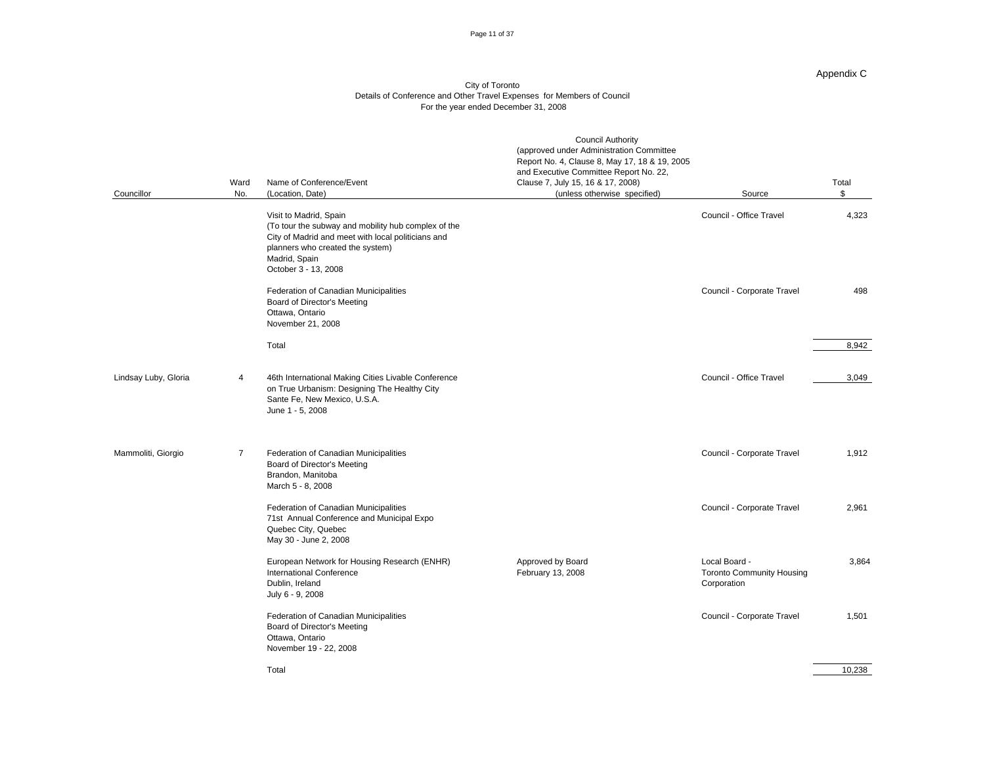#### Page 11 of 37

### Appendix C

|                      |                |                                                                                                                                                                                                                  | <b>Council Authority</b><br>(approved under Administration Committee        |                                                                  |                    |
|----------------------|----------------|------------------------------------------------------------------------------------------------------------------------------------------------------------------------------------------------------------------|-----------------------------------------------------------------------------|------------------------------------------------------------------|--------------------|
|                      |                |                                                                                                                                                                                                                  | Report No. 4, Clause 8, May 17, 18 & 19, 2005                               |                                                                  |                    |
|                      |                | Ward Name of Conference/Event                                                                                                                                                                                    | and Executive Committee Report No. 22,<br>Clause 7, July 15, 16 & 17, 2008) |                                                                  | Total              |
| Councillor           |                | No. (Location, Date)                                                                                                                                                                                             | (unless otherwise specified)                                                | Source                                                           |                    |
|                      |                |                                                                                                                                                                                                                  |                                                                             |                                                                  |                    |
|                      |                | Visit to Madrid, Spain<br>(To tour the subway and mobility hub complex of the<br>City of Madrid and meet with local politicians and<br>planners who created the system)<br>Madrid, Spain<br>October 3 - 13, 2008 |                                                                             | Council - Office Travel                                          | 4,323              |
|                      |                | Federation of Canadian Municipalities<br>Board of Director's Meeting<br>Ottawa, Ontario<br>November 21, 2008                                                                                                     |                                                                             | Council - Corporate Travel                                       | 498                |
|                      |                | Total                                                                                                                                                                                                            |                                                                             |                                                                  | 8,942              |
| Lindsay Luby, Gloria | $\overline{4}$ | 46th International Making Cities Livable Conference<br>on True Urbanism: Designing The Healthy City<br>Sante Fe, New Mexico, U.S.A.<br>June 1 - 5, 2008                                                          |                                                                             | Council - Office Travel                                          | 3,049              |
| Mammoliti, Giorgio   | $\overline{7}$ | Federation of Canadian Municipalities<br><b>Board of Director's Meeting</b><br>Brandon, Manitoba<br>March 5 - 8, 2008                                                                                            |                                                                             | Council - Corporate Travel                                       | 1,912              |
|                      |                | Federation of Canadian Municipalities<br>71st Annual Conference and Municipal Expo<br>Quebec City, Quebec<br>May 30 - June 2, 2008                                                                               |                                                                             | Council - Corporate Travel                                       | 2,961              |
|                      |                | European Network for Housing Research (ENHR)<br><b>International Conference</b><br>Dublin, Ireland<br>July 6 - 9, 2008                                                                                           | Approved by Board<br>February 13, 2008                                      | Local Board -<br><b>Toronto Community Housing</b><br>Corporation | 3,864              |
|                      |                | Federation of Canadian Municipalities<br><b>Board of Director's Meeting</b><br>Ottawa, Ontario<br>November 19 - 22, 2008                                                                                         |                                                                             | Council - Corporate Travel                                       | 1,501              |
|                      |                | Total                                                                                                                                                                                                            |                                                                             |                                                                  | $\frac{10,238}{ }$ |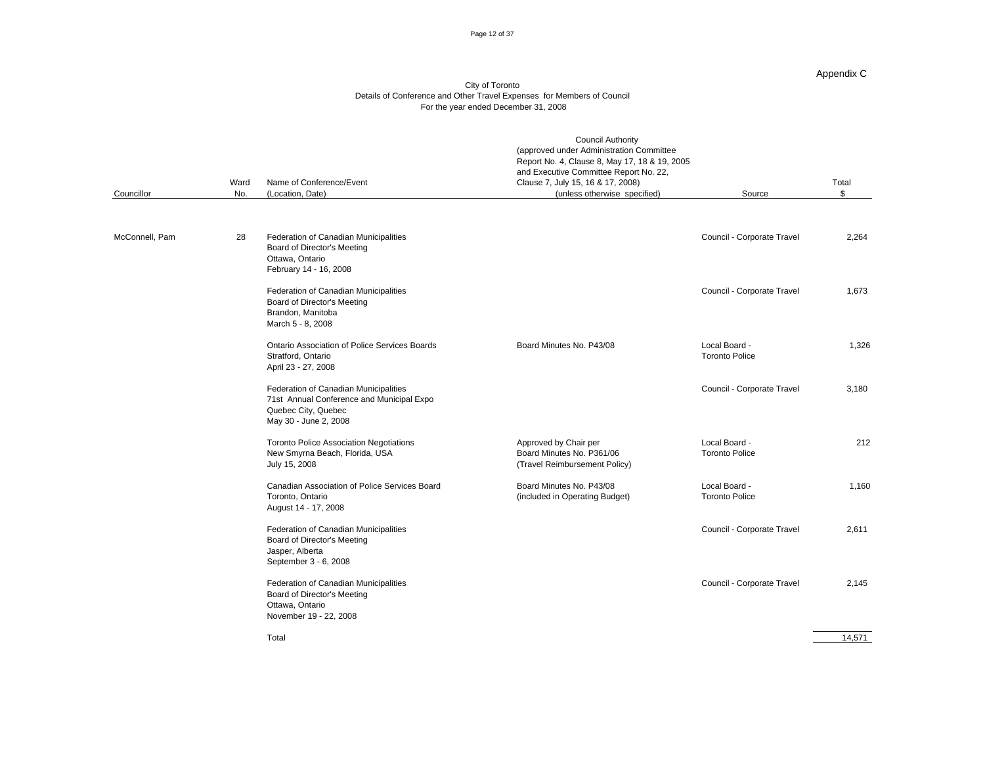#### Page 12 of 37

#### Appendix C

| Councillor     | Ward Name of Conference/Event<br>No. (Location, Date)                                                                              | <b>Council Authority</b><br>(approved under Administration Committee<br>Report No. 4, Clause 8, May 17, 18 & 19, 2005<br>and Executive Committee Report No. 22,<br>Clause 7, July 15, 16 & 17, 2008)<br>(unless otherwise specified) | Source                                 | Total              |
|----------------|------------------------------------------------------------------------------------------------------------------------------------|--------------------------------------------------------------------------------------------------------------------------------------------------------------------------------------------------------------------------------------|----------------------------------------|--------------------|
| McConnell, Pam | 28 Federation of Canadian Municipalities<br>Board of Director's Meeting<br>Ottawa, Ontario<br>February 14 - 16, 2008               |                                                                                                                                                                                                                                      | Council - Corporate Travel             | 2,264              |
|                | Federation of Canadian Municipalities<br><b>Board of Director's Meeting</b><br>Brandon, Manitoba<br>March 5 - 8, 2008              |                                                                                                                                                                                                                                      | Council - Corporate Travel             | 1,673              |
|                | Ontario Association of Police Services Boards<br>Stratford, Ontario<br>April 23 - 27, 2008                                         | Board Minutes No. P43/08                                                                                                                                                                                                             | Local Board -<br><b>Toronto Police</b> | 1,326              |
|                | Federation of Canadian Municipalities<br>71st Annual Conference and Municipal Expo<br>Quebec City, Quebec<br>May 30 - June 2, 2008 |                                                                                                                                                                                                                                      | Council - Corporate Travel             | 3,180              |
|                | <b>Toronto Police Association Negotiations</b><br>New Smyrna Beach, Florida, USA<br>July 15, 2008                                  | Approved by Chair per<br>Board Minutes No. P361/06<br>(Travel Reimbursement Policy)                                                                                                                                                  | Local Board -<br><b>Toronto Police</b> | 212                |
|                | Canadian Association of Police Services Board<br>Toronto, Ontario<br>August 14 - 17, 2008                                          | Board Minutes No. P43/08<br>(included in Operating Budget)                                                                                                                                                                           | Local Board -<br><b>Toronto Police</b> | 1,160              |
|                | Federation of Canadian Municipalities<br><b>Board of Director's Meeting</b><br>Jasper, Alberta<br>September 3 - 6, 2008            |                                                                                                                                                                                                                                      | Council - Corporate Travel             | 2,611              |
|                | Federation of Canadian Municipalities<br><b>Board of Director's Meeting</b><br>Ottawa, Ontario<br>November 19 - 22, 2008           |                                                                                                                                                                                                                                      | Council - Corporate Travel             | 2,145              |
|                | Total                                                                                                                              |                                                                                                                                                                                                                                      |                                        | $\frac{14,571}{ }$ |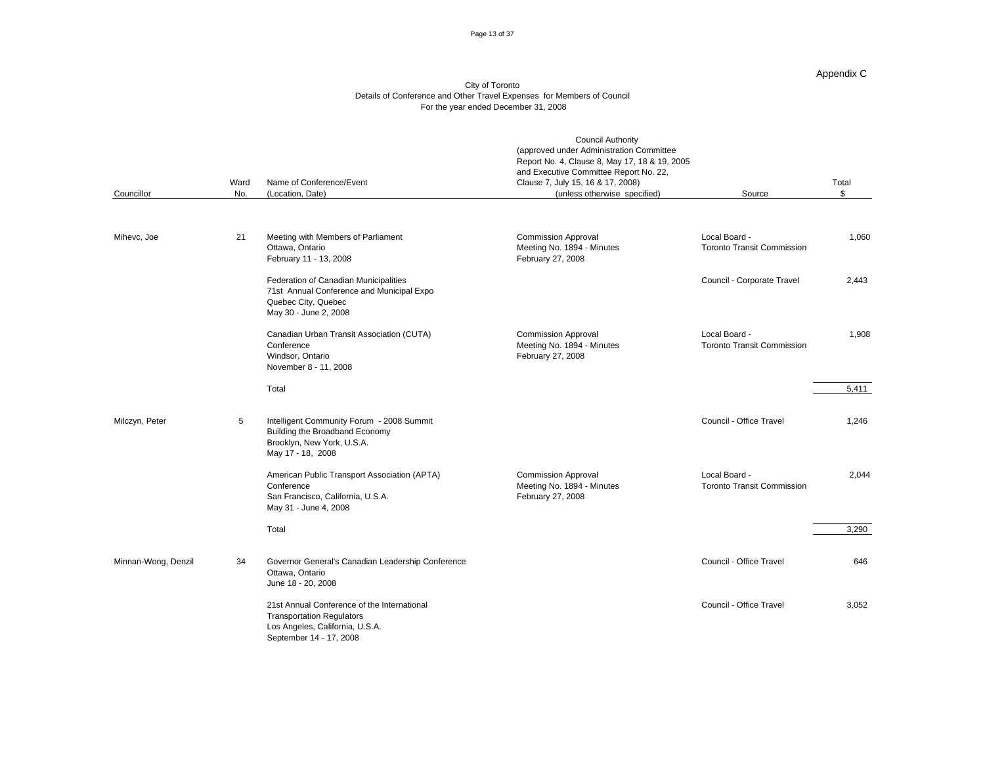#### Page 13 of 37

#### Appendix C

| Councillor          |    | Ward Name of Conference/Event<br>No. (Location, Date)                                                                                         | <b>Council Authority</b><br>(approved under Administration Committee<br>Report No. 4, Clause 8, May 17, 18 & 19, 2005<br>and Executive Committee Report No. 22,<br>Clause 7, July 15, 16 & 17, 2008)<br>(unless otherwise specified) | Source                                             | Total |
|---------------------|----|-----------------------------------------------------------------------------------------------------------------------------------------------|--------------------------------------------------------------------------------------------------------------------------------------------------------------------------------------------------------------------------------------|----------------------------------------------------|-------|
| Mihevc, Joe         | 21 | Meeting with Members of Parliament<br>Ottawa, Ontario<br>February 11 - 13, 2008                                                               | <b>Commission Approval</b><br>Meeting No. 1894 - Minutes<br>February 27, 2008                                                                                                                                                        | Local Board -<br><b>Toronto Transit Commission</b> | 1,060 |
|                     |    | Federation of Canadian Municipalities<br>71st Annual Conference and Municipal Expo<br>Quebec City, Quebec<br>May 30 - June 2, 2008            |                                                                                                                                                                                                                                      | Council - Corporate Travel                         | 2,443 |
|                     |    | Canadian Urban Transit Association (CUTA)<br>Conference<br>Windsor, Ontario<br>November 8 - 11, 2008                                          | <b>Commission Approval</b><br>Meeting No. 1894 - Minutes<br>February 27, 2008                                                                                                                                                        | Local Board -<br><b>Toronto Transit Commission</b> | 1,908 |
|                     |    | Total                                                                                                                                         |                                                                                                                                                                                                                                      |                                                    | 5,411 |
| Milczyn, Peter      |    | Intelligent Community Forum - 2008 Summit<br>Building the Broadband Economy<br>Brooklyn, New York, U.S.A.<br>May 17 - 18, 2008                |                                                                                                                                                                                                                                      | Council - Office Travel                            | 1.246 |
|                     |    | American Public Transport Association (APTA)<br>Conference<br>San Francisco, California, U.S.A.<br>May 31 - June 4, 2008                      | <b>Commission Approval</b><br>Meeting No. 1894 - Minutes<br>February 27, 2008                                                                                                                                                        | Local Board -<br><b>Toronto Transit Commission</b> | 2,044 |
|                     |    | Total                                                                                                                                         |                                                                                                                                                                                                                                      |                                                    | 3,290 |
| Minnan-Wong, Denzil | 34 | Governor General's Canadian Leadership Conference<br>Ottawa, Ontario<br>June 18 - 20, 2008                                                    |                                                                                                                                                                                                                                      | Council - Office Travel                            | 646   |
|                     |    | 21st Annual Conference of the International<br><b>Transportation Regulators</b><br>Los Angeles, California, U.S.A.<br>September 14 - 17, 2008 |                                                                                                                                                                                                                                      | Council - Office Travel                            | 3,052 |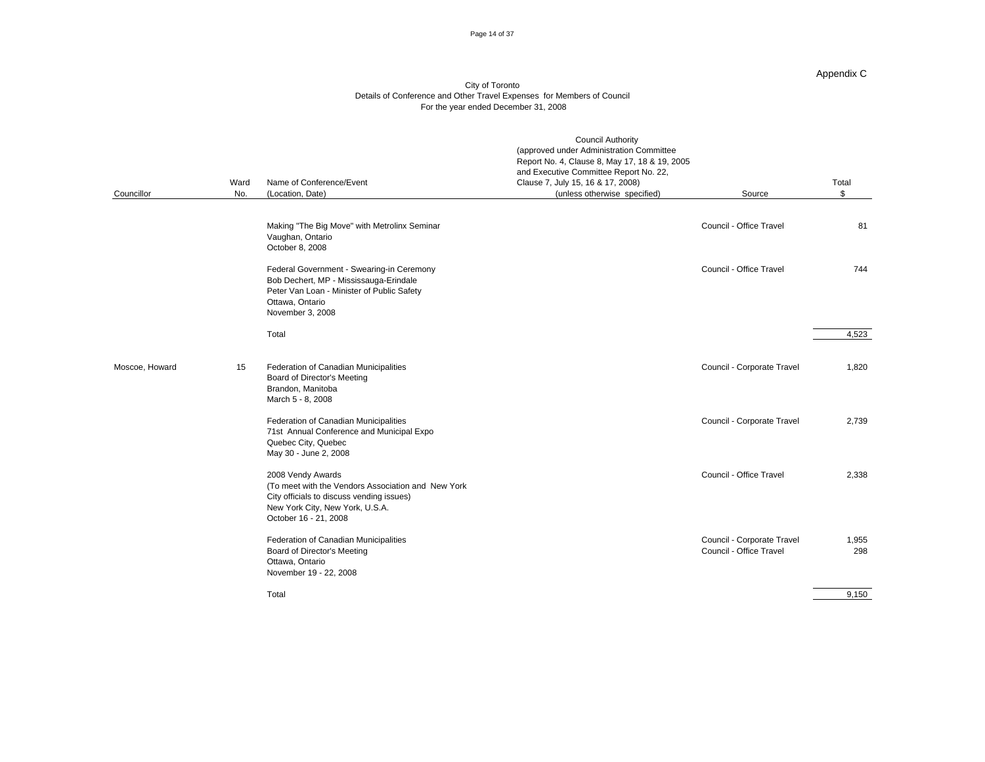#### Page 14 of 37

#### Appendix C

| Councillor     |    | Ward Name of Conference/Event<br>No. (Location, Date)                                                                                                                            | <b>Council Authority</b><br>(approved under Administration Committee<br>Report No. 4, Clause 8, May 17, 18 & 19, 2005<br>and Executive Committee Report No. 22,<br>Clause 7, July 15, 16 & 17, 2008)<br>(unless otherwise specified) | Source                                                | Total                                               |
|----------------|----|----------------------------------------------------------------------------------------------------------------------------------------------------------------------------------|--------------------------------------------------------------------------------------------------------------------------------------------------------------------------------------------------------------------------------------|-------------------------------------------------------|-----------------------------------------------------|
|                |    | Making "The Big Move" with Metrolinx Seminar<br>Vaughan, Ontario<br>October 8, 2008                                                                                              |                                                                                                                                                                                                                                      | Council - Office Travel                               | 81                                                  |
|                |    | Federal Government - Swearing-in Ceremony<br>Bob Dechert, MP - Mississauga-Erindale<br>Peter Van Loan - Minister of Public Safety<br>Ottawa, Ontario<br>November 3, 2008         |                                                                                                                                                                                                                                      | Council - Office Travel                               | 744                                                 |
|                |    | Total                                                                                                                                                                            |                                                                                                                                                                                                                                      |                                                       | 4,523                                               |
| Moscoe, Howard | 15 | Federation of Canadian Municipalities<br>Board of Director's Meeting<br>Brandon, Manitoba<br>March 5 - 8, 2008                                                                   |                                                                                                                                                                                                                                      | Council - Corporate Travel                            | 1,820                                               |
|                |    | Federation of Canadian Municipalities<br>71st Annual Conference and Municipal Expo<br>Quebec City, Quebec<br>May 30 - June 2, 2008                                               |                                                                                                                                                                                                                                      | Council - Corporate Travel                            | 2,739                                               |
|                |    | 2008 Vendy Awards<br>(To meet with the Vendors Association and New York<br>City officials to discuss vending issues)<br>New York City, New York, U.S.A.<br>October 16 - 21, 2008 |                                                                                                                                                                                                                                      | Council - Office Travel                               | 2,338                                               |
|                |    | Federation of Canadian Municipalities<br><b>Board of Director's Meeting</b><br>Ottawa, Ontario<br>November 19 - 22, 2008                                                         |                                                                                                                                                                                                                                      | Council - Corporate Travel<br>Council - Office Travel | 1,955<br>298                                        |
|                |    | Total                                                                                                                                                                            |                                                                                                                                                                                                                                      |                                                       | <b>Contract Contract Contract Contract</b><br>9,150 |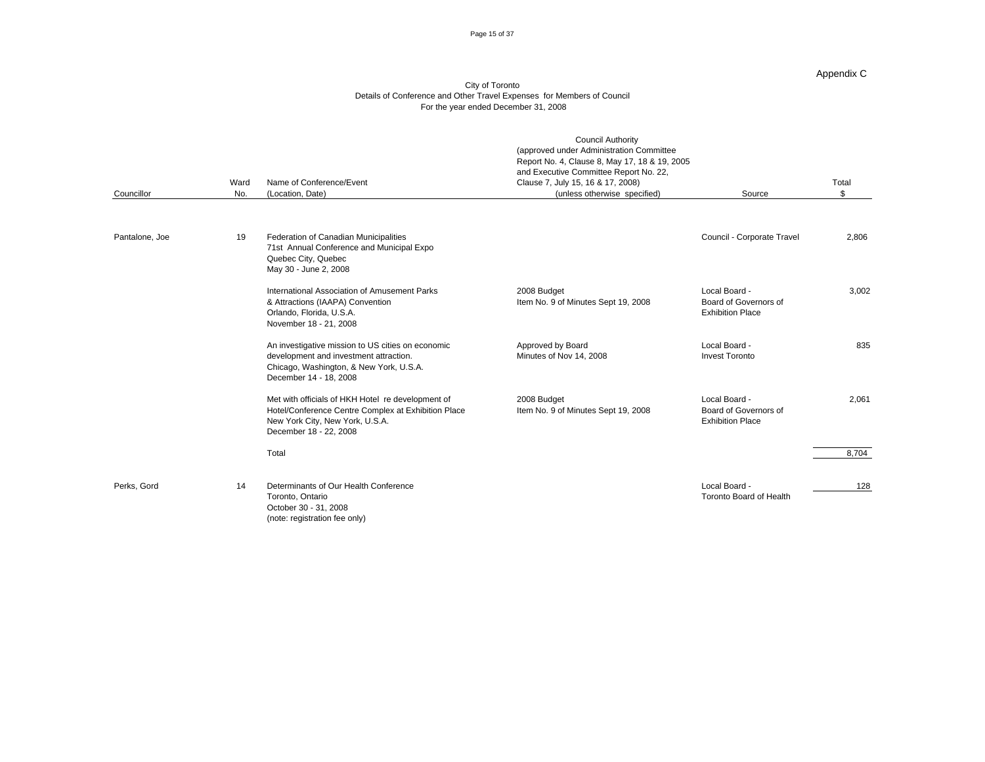#### Page 15 of 37

#### Appendix C

| Councillor     |    | Ward Name of Conference/Event<br>No. (Location, Date)                                                                                                                 | <b>Council Authority</b><br>(approved under Administration Committee<br>Report No. 4, Clause 8, May 17, 18 & 19, 2005<br>and Executive Committee Report No. 22,<br>Clause 7, July 15, 16 & 17, 2008)<br>(unless otherwise specified) | Source                                                            | Total           |
|----------------|----|-----------------------------------------------------------------------------------------------------------------------------------------------------------------------|--------------------------------------------------------------------------------------------------------------------------------------------------------------------------------------------------------------------------------------|-------------------------------------------------------------------|-----------------|
| Pantalone, Joe |    | 19 Federation of Canadian Municipalities<br>71st Annual Conference and Municipal Expo<br>Quebec City, Quebec<br>May 30 - June 2, 2008                                 |                                                                                                                                                                                                                                      | Council - Corporate Travel                                        | 2,806           |
|                |    | International Association of Amusement Parks<br>& Attractions (IAAPA) Convention<br>Orlando, Florida, U.S.A.<br>November 18 - 21, 2008                                | 2008 Budget<br>Item No. 9 of Minutes Sept 19, 2008                                                                                                                                                                                   | Local Board -<br>Board of Governors of<br><b>Exhibition Place</b> | 3,002           |
|                |    | An investigative mission to US cities on economic<br>development and investment attraction.<br>Chicago, Washington, & New York, U.S.A.<br>December 14 - 18, 2008      | Approved by Board<br>Minutes of Nov 14, 2008                                                                                                                                                                                         | Local Board -<br><b>Invest Toronto</b>                            | 835             |
|                |    | Met with officials of HKH Hotel re development of<br>Hotel/Conference Centre Complex at Exhibition Place<br>New York City, New York, U.S.A.<br>December 18 - 22, 2008 | 2008 Budget<br>Item No. 9 of Minutes Sept 19, 2008                                                                                                                                                                                   | Local Board -<br>Board of Governors of<br><b>Exhibition Place</b> | 2,061           |
|                |    | Total                                                                                                                                                                 |                                                                                                                                                                                                                                      |                                                                   | 8,704           |
| Perks, Gord    | 14 | Determinants of Our Health Conference<br>Toronto, Ontario<br>October 30 - 31, 2008<br>(note: registration fee only)                                                   |                                                                                                                                                                                                                                      | Local Board -<br>Toronto Board of Health                          | $\frac{128}{2}$ |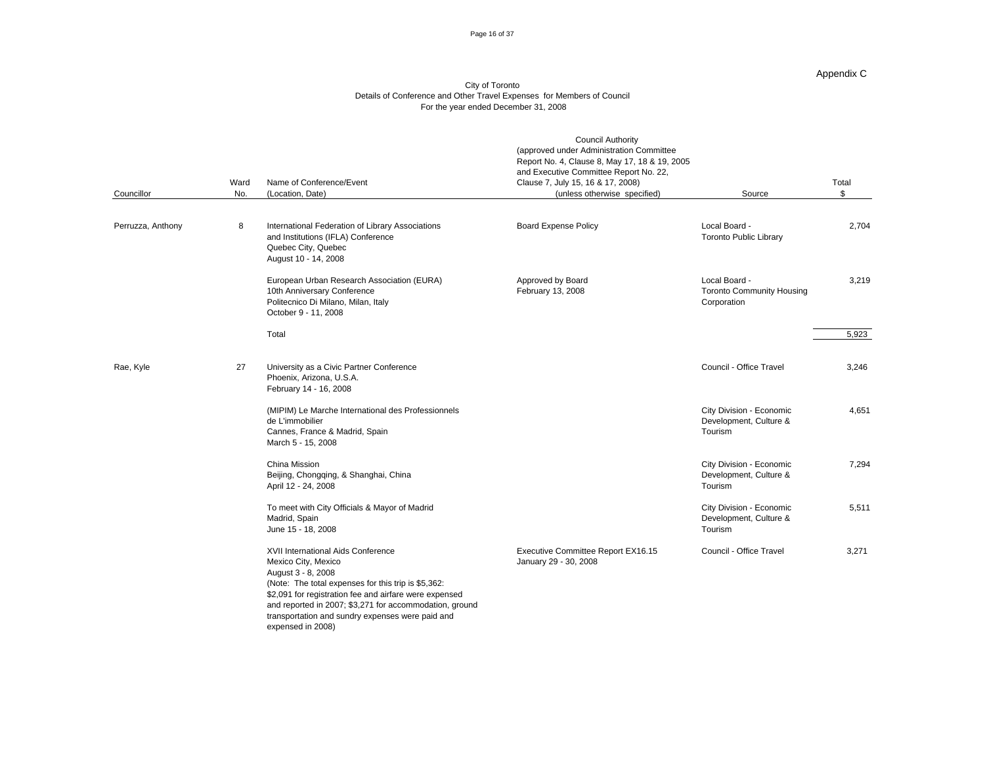#### Page 16 of 37

#### Appendix C

| Councillor        | Ward Name of Conference/Event<br>No. (Location, Date)                                                                                                                                                                                                                                                                                | <b>Council Authority</b><br>(approved under Administration Committee<br>Report No. 4, Clause 8, May 17, 18 & 19, 2005<br>and Executive Committee Report No. 22,<br>Clause 7, July 15, 16 & 17, 2008)<br>(unless otherwise specified) | Source                                                           | Total<br>$\sqrt{2}$ |
|-------------------|--------------------------------------------------------------------------------------------------------------------------------------------------------------------------------------------------------------------------------------------------------------------------------------------------------------------------------------|--------------------------------------------------------------------------------------------------------------------------------------------------------------------------------------------------------------------------------------|------------------------------------------------------------------|---------------------|
| Perruzza, Anthony | International Federation of Library Associations<br>and Institutions (IFLA) Conference<br>Quebec City, Quebec<br>August 10 - 14, 2008                                                                                                                                                                                                | <b>Board Expense Policy</b>                                                                                                                                                                                                          | Local Board -<br>Toronto Public Library                          | 2,704               |
|                   | European Urban Research Association (EURA)<br>10th Anniversary Conference<br>Politecnico Di Milano, Milan, Italy<br>October 9 - 11, 2008                                                                                                                                                                                             | Approved by Board<br>February 13, 2008                                                                                                                                                                                               | Local Board -<br><b>Toronto Community Housing</b><br>Corporation | 3,219               |
|                   | Total                                                                                                                                                                                                                                                                                                                                |                                                                                                                                                                                                                                      |                                                                  | 5,923               |
| Rae, Kyle         | 27 University as a Civic Partner Conference<br>Phoenix, Arizona, U.S.A.<br>February 14 - 16, 2008                                                                                                                                                                                                                                    |                                                                                                                                                                                                                                      | Council - Office Travel                                          | 3,246               |
|                   | (MIPIM) Le Marche International des Professionnels<br>de L'immobilier<br>Cannes, France & Madrid, Spain<br>March 5 - 15, 2008                                                                                                                                                                                                        |                                                                                                                                                                                                                                      | City Division - Economic<br>Development, Culture &<br>Tourism    | 4,651               |
|                   | China Mission<br>Beijing, Chongqing, & Shanghai, China<br>April 12 - 24, 2008                                                                                                                                                                                                                                                        |                                                                                                                                                                                                                                      | City Division - Economic<br>Development, Culture &<br>Tourism    | 7,294               |
|                   | To meet with City Officials & Mayor of Madrid<br>Madrid, Spain<br>June 15 - 18, 2008                                                                                                                                                                                                                                                 |                                                                                                                                                                                                                                      | City Division - Economic<br>Development, Culture &<br>Tourism    | 5,511               |
|                   | XVII International Aids Conference<br>Mexico City, Mexico<br>August 3 - 8, 2008<br>(Note: The total expenses for this trip is \$5,362:<br>\$2,091 for registration fee and airfare were expensed<br>and reported in 2007; \$3,271 for accommodation, ground<br>transportation and sundry expenses were paid and<br>expensed in 2008) | Executive Committee Report EX16.15<br>January 29 - 30, 2008                                                                                                                                                                          | Council - Office Travel                                          | 3,271               |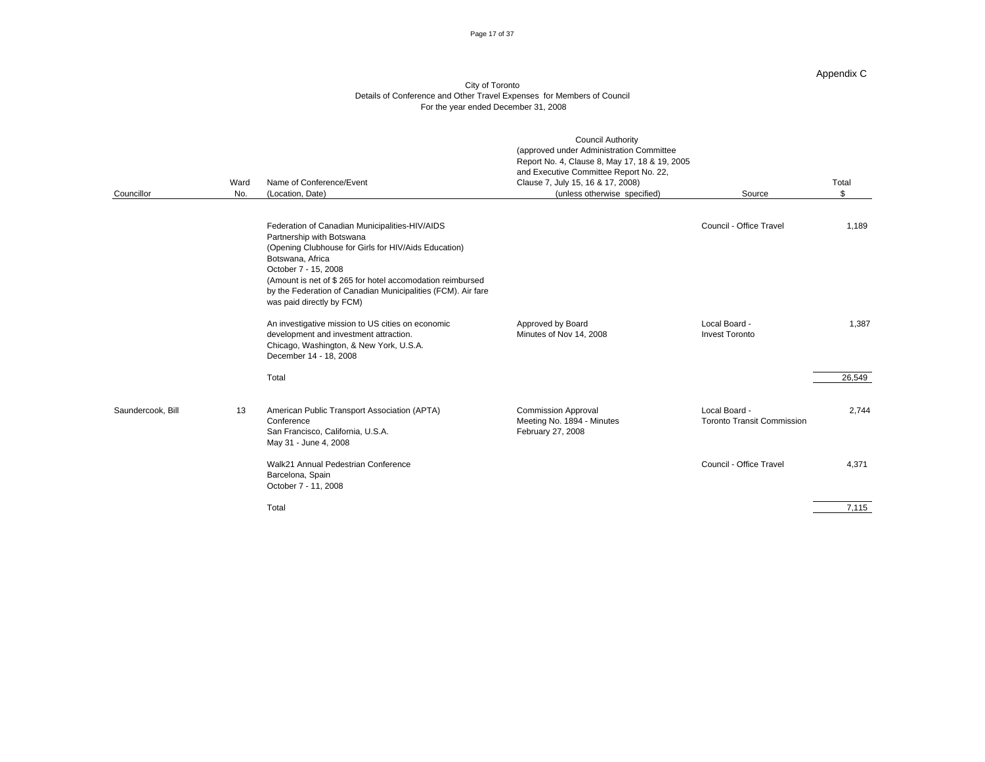#### Page 17 of 37

#### Appendix C

| Councillor        | Ward Name of Conference/Event<br>No. (Location, Date)                                                                                                                                                                                                                                                                                     | <b>Council Authority</b><br>(approved under Administration Committee<br>Report No. 4, Clause 8, May 17, 18 & 19, 2005<br>and Executive Committee Report No. 22,<br>Clause 7, July 15, 16 & 17, 2008)<br>(unless otherwise specified) | Source                                             | Total           |
|-------------------|-------------------------------------------------------------------------------------------------------------------------------------------------------------------------------------------------------------------------------------------------------------------------------------------------------------------------------------------|--------------------------------------------------------------------------------------------------------------------------------------------------------------------------------------------------------------------------------------|----------------------------------------------------|-----------------|
|                   | Federation of Canadian Municipalities-HIV/AIDS<br>Partnership with Botswana<br>(Opening Clubhouse for Girls for HIV/Aids Education)<br>Botswana, Africa<br>October 7 - 15, 2008<br>(Amount is net of \$265 for hotel accomodation reimbursed<br>by the Federation of Canadian Municipalities (FCM). Air fare<br>was paid directly by FCM) |                                                                                                                                                                                                                                      | Council - Office Travel                            | 1,189           |
|                   | An investigative mission to US cities on economic<br>development and investment attraction.<br>Chicago, Washington, & New York, U.S.A.<br>December 14 - 18, 2008                                                                                                                                                                          | Approved by Board<br>Minutes of Nov 14, 2008                                                                                                                                                                                         | Local Board -<br><b>Invest Toronto</b>             | 1,387           |
| Saundercook, Bill | Total<br>13 American Public Transport Association (APTA)<br>Conference<br>San Francisco, California, U.S.A.<br>May 31 - June 4, 2008                                                                                                                                                                                                      | <b>Commission Approval</b><br>Meeting No. 1894 - Minutes<br>February 27, 2008                                                                                                                                                        | Local Board -<br><b>Toronto Transit Commission</b> | 26,549<br>2,744 |
|                   | Walk21 Annual Pedestrian Conference<br>Barcelona, Spain<br>October 7 - 11, 2008<br>Total                                                                                                                                                                                                                                                  |                                                                                                                                                                                                                                      | Council - Office Travel                            | 4,371<br>7,115  |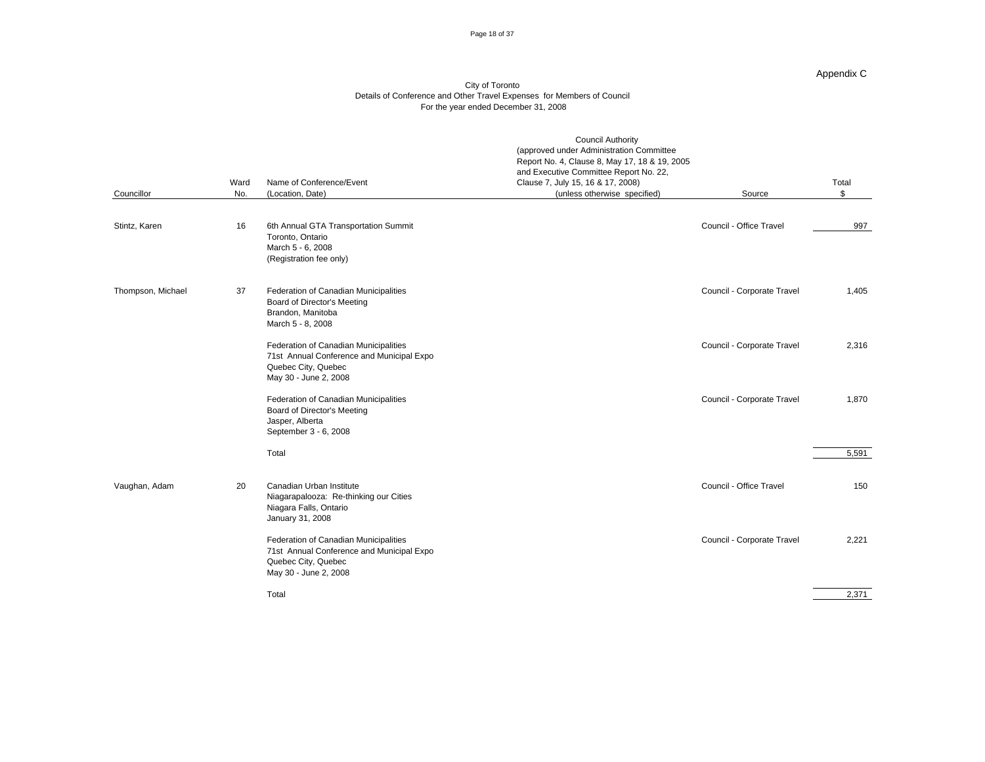#### Page 18 of 37

#### Appendix C

|                   |    | Ward Name of Conference/Event                                                                                                      | <b>Council Authority</b><br>(approved under Administration Committee<br>Report No. 4, Clause 8, May 17, 18 & 19, 2005<br>and Executive Committee Report No. 22,<br>Clause 7, July 15, 16 & 17, 2008) |                            | Total           |
|-------------------|----|------------------------------------------------------------------------------------------------------------------------------------|------------------------------------------------------------------------------------------------------------------------------------------------------------------------------------------------------|----------------------------|-----------------|
| Councillor        |    | No. (Location, Date)                                                                                                               | (unless otherwise specified)                                                                                                                                                                         | Source                     |                 |
| Stintz, Karen     | 16 | 6th Annual GTA Transportation Summit<br>Toronto, Ontario<br>March 5 - 6, 2008<br>(Registration fee only)                           |                                                                                                                                                                                                      | Council - Office Travel    | $\frac{997}{2}$ |
| Thompson, Michael | 37 | Federation of Canadian Municipalities<br><b>Board of Director's Meeting</b><br>Brandon, Manitoba<br>March 5 - 8, 2008              |                                                                                                                                                                                                      | Council - Corporate Travel | 1,405           |
|                   |    | Federation of Canadian Municipalities<br>71st Annual Conference and Municipal Expo<br>Quebec City, Quebec<br>May 30 - June 2, 2008 |                                                                                                                                                                                                      | Council - Corporate Travel | 2,316           |
|                   |    | Federation of Canadian Municipalities<br><b>Board of Director's Meeting</b><br>Jasper, Alberta<br>September 3 - 6, 2008            |                                                                                                                                                                                                      | Council - Corporate Travel | 1,870           |
|                   |    | Total                                                                                                                              |                                                                                                                                                                                                      |                            | 5,591           |
| Vaughan, Adam     | 20 | Canadian Urban Institute<br>Niagarapalooza: Re-thinking our Cities<br>Niagara Falls, Ontario<br>January 31, 2008                   |                                                                                                                                                                                                      | Council - Office Travel    | 150             |
|                   |    | Federation of Canadian Municipalities<br>71st Annual Conference and Municipal Expo<br>Quebec City, Quebec<br>May 30 - June 2, 2008 |                                                                                                                                                                                                      | Council - Corporate Travel | 2,221           |
|                   |    | Total                                                                                                                              |                                                                                                                                                                                                      |                            | 2,371           |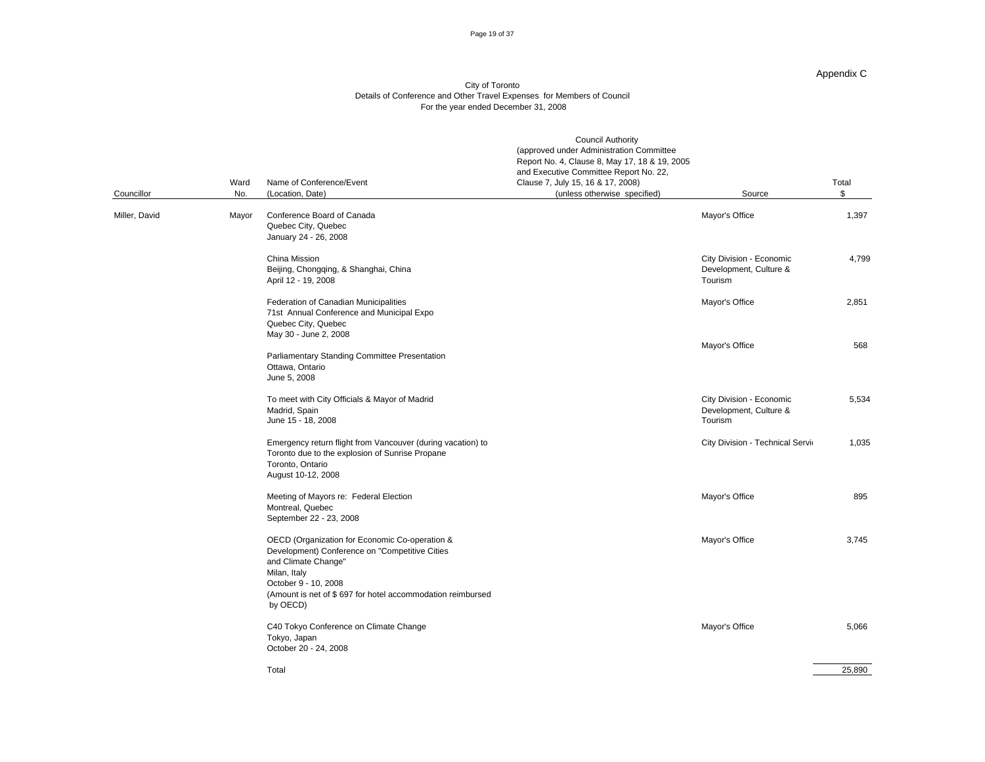#### Page 19 of 37

#### Appendix C

#### City of Toronto Details of Conference and Other Travel Expenses for Members of Council For the year ended December 31, 2008

|               | Ward Name of Conference/Event                                                                                                                                                                                                             | <b>Council Authority</b><br>(approved under Administration Committee<br>Report No. 4, Clause 8, May 17, 18 & 19, 2005<br>and Executive Committee Report No. 22,<br>Clause 7, July 15, 16 & 17, 2008) |                                                               | Total                                                    |
|---------------|-------------------------------------------------------------------------------------------------------------------------------------------------------------------------------------------------------------------------------------------|------------------------------------------------------------------------------------------------------------------------------------------------------------------------------------------------------|---------------------------------------------------------------|----------------------------------------------------------|
| Councillor    | No. (Location, Date)                                                                                                                                                                                                                      | (unless otherwise specified)                                                                                                                                                                         | Source                                                        | $\overline{P}$                                           |
| Miller, David | Mayor Conference Board of Canada<br>Quebec City, Quebec<br>January 24 - 26, 2008                                                                                                                                                          |                                                                                                                                                                                                      | Mayor's Office                                                | 1,397                                                    |
|               | China Mission<br>Beijing, Chongqing, & Shanghai, China<br>April 12 - 19, 2008                                                                                                                                                             |                                                                                                                                                                                                      | City Division - Economic<br>Development, Culture &<br>Tourism | 4,799                                                    |
|               | Federation of Canadian Municipalities<br>71st Annual Conference and Municipal Expo<br>Quebec City, Quebec<br>May 30 - June 2, 2008                                                                                                        |                                                                                                                                                                                                      | Mayor's Office                                                | 2,851                                                    |
|               | Parliamentary Standing Committee Presentation<br>Ottawa, Ontario<br>June 5, 2008                                                                                                                                                          |                                                                                                                                                                                                      | Mayor's Office                                                | 568                                                      |
|               | To meet with City Officials & Mayor of Madrid<br>Madrid, Spain<br>June 15 - 18, 2008                                                                                                                                                      |                                                                                                                                                                                                      | City Division - Economic<br>Development, Culture &<br>Tourism | 5,534                                                    |
|               | Emergency return flight from Vancouver (during vacation) to<br>Toronto due to the explosion of Sunrise Propane<br>Toronto, Ontario<br>August 10-12, 2008                                                                                  |                                                                                                                                                                                                      | <b>City Division - Technical Servid</b>                       | 1,035                                                    |
|               | Meeting of Mayors re: Federal Election<br>Montreal, Quebec<br>September 22 - 23, 2008                                                                                                                                                     |                                                                                                                                                                                                      | Mayor's Office                                                | 895                                                      |
|               | OECD (Organization for Economic Co-operation &<br>Development) Conference on "Competitive Cities<br>and Climate Change"<br>Milan, Italy<br>October 9 - 10, 2008<br>(Amount is net of \$697 for hotel accommodation reimbursed<br>by OECD) |                                                                                                                                                                                                      | Mayor's Office                                                | 3,745                                                    |
|               | C40 Tokyo Conference on Climate Change<br>Tokyo, Japan<br>October 20 - 24, 2008                                                                                                                                                           |                                                                                                                                                                                                      | Mayor's Office                                                | 5,066<br>the contract of the contract of the contract of |

Total 25,890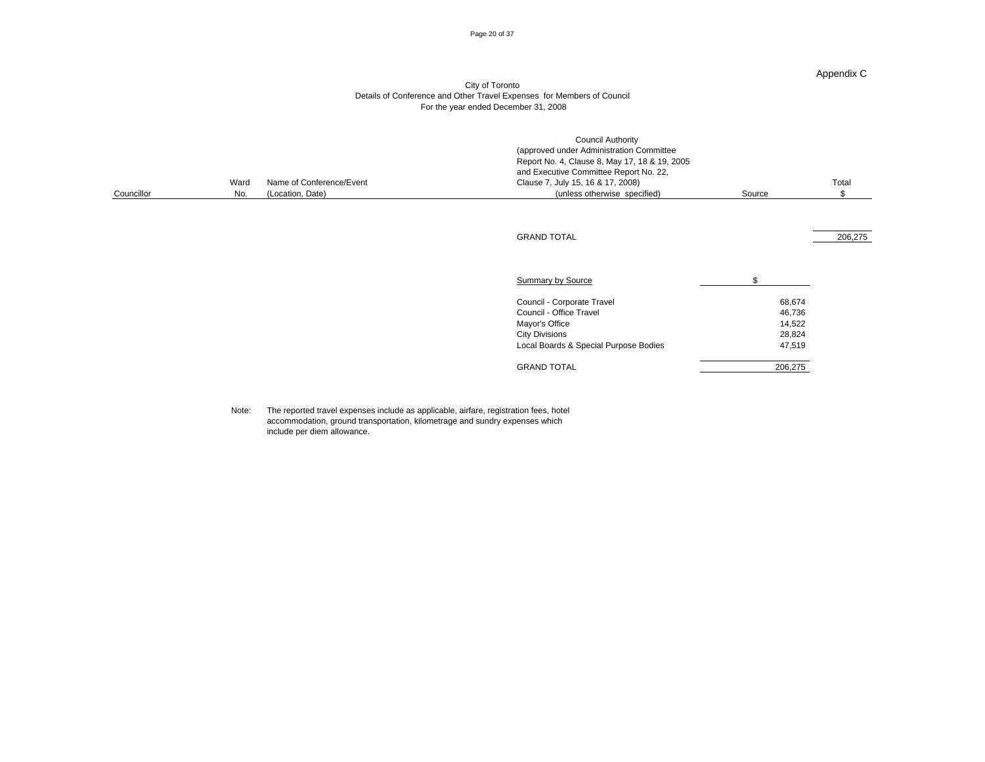#### Page 20 of 37

#### Appendix C

#### City of Toronto Details of Conference and Other Travel Expenses for Members of Council For the year ended December 31, 2008

| Councillor | Ward Name of Conference/Event<br>No. (Location, Date) | <b>Council Authority</b><br>(approved under Administration Committee<br>Report No. 4, Clause 8, May 17, 18 & 19, 2005<br>and Executive Committee Report No. 22,<br>Clause 7, July 15, 16 & 17, 2008)<br>(unless otherwise specified) | Source                                                    | Total   |
|------------|-------------------------------------------------------|--------------------------------------------------------------------------------------------------------------------------------------------------------------------------------------------------------------------------------------|-----------------------------------------------------------|---------|
|            |                                                       |                                                                                                                                                                                                                                      |                                                           |         |
|            |                                                       | <b>GRAND TOTAL</b>                                                                                                                                                                                                                   |                                                           | 206,275 |
|            |                                                       | <b>Summary by Source</b>                                                                                                                                                                                                             | $\mathcal{L}^{\text{max}}$ and $\mathcal{L}^{\text{max}}$ |         |
|            |                                                       | Council - Corporate Travel<br>Council - Office Travel<br>Mayor's Office<br><b>City Divisions</b><br>Local Boards & Special Purpose Bodies                                                                                            | 68,674<br>46,736<br>14,522<br>28,824<br>47,519            |         |
|            |                                                       | <b>GRAND TOTAL</b>                                                                                                                                                                                                                   | 206,275<br>the contract of the contract of the            |         |

Note: The reported travel expenses include as applicable, airfare, registration fees, hotel accommodation, ground transportation, kilometrage and sundry expenses which include per diem allowance.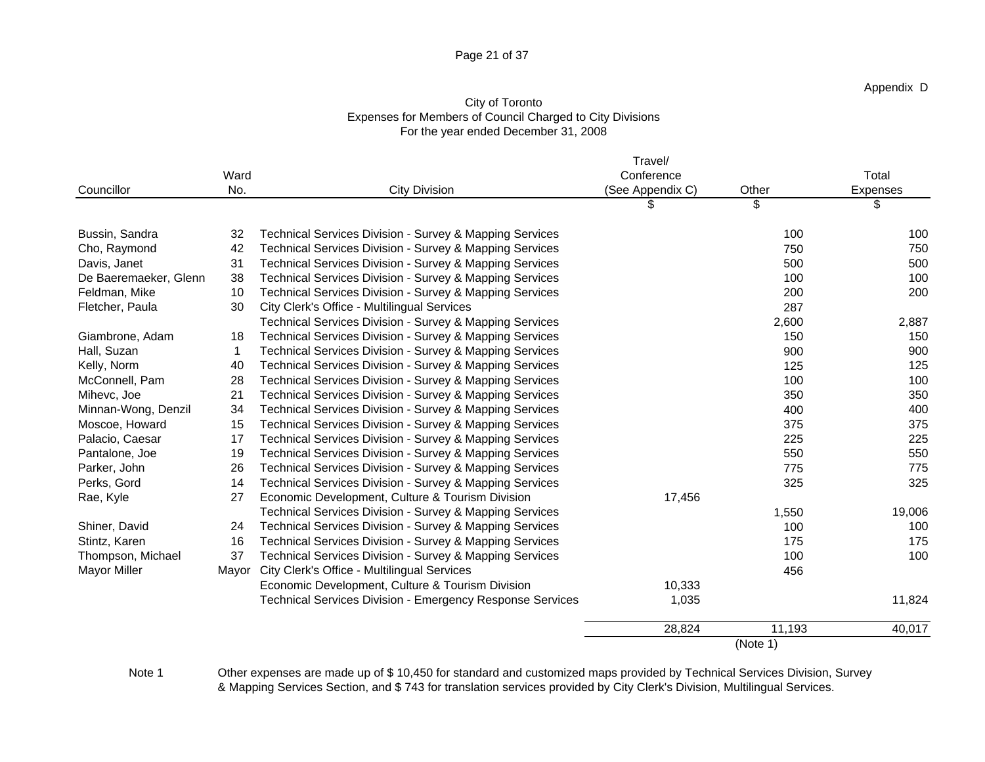### Page 21 of 37

## City of Toronto Expenses for Members of Council Charged to City Divisions For the year ended December 31, 2008

|                       |                                                     |                                                            | Travel/         |          |            |
|-----------------------|-----------------------------------------------------|------------------------------------------------------------|-----------------|----------|------------|
|                       | Ward                                                |                                                            | Conference      |          | Total      |
| Councillor            | No.                                                 | <b>City Division</b>                                       | (See Appendix C | Other    | Expenses   |
|                       |                                                     |                                                            |                 |          |            |
| Bussin, Sandra        |                                                     | 32 Technical Services Division - Survey & Mapping Services |                 | 100      | 100        |
| Cho, Raymond          |                                                     | 42 Technical Services Division - Survey & Mapping Services |                 | 750      | 750        |
| Davis, Janet          |                                                     | 31 Technical Services Division - Survey & Mapping Services |                 | 500      | 500        |
| De Baeremaeker, Glenn |                                                     | 38 Technical Services Division - Survey & Mapping Services |                 | 100      | 100        |
| Feldman, Mike         |                                                     | 10 Technical Services Division - Survey & Mapping Services |                 | 200      | 200        |
| Fletcher, Paula       | 30 City Clerk's Office - Multilingual Services      |                                                            |                 | 287      |            |
|                       |                                                     | Technical Services Division - Survey & Mapping Services    |                 | 2,600    | 2,887      |
| Giambrone, Adam       |                                                     | 18 Technical Services Division - Survey & Mapping Services |                 | 150      | 150        |
| Hall, Suzan           |                                                     | Technical Services Division - Survey & Mapping Services    |                 | 900      | 900        |
| Kelly, Norm           |                                                     | 40 Technical Services Division - Survey & Mapping Services |                 | 125      | 125        |
| McConnell, Pam        |                                                     | 28 Technical Services Division - Survey & Mapping Services |                 | 100      | 100        |
| Mihevc, Joe           |                                                     | 21 Technical Services Division - Survey & Mapping Services |                 |          | 350        |
| Minnan-Wong, Denzil   |                                                     | 34 Technical Services Division - Survey & Mapping Services |                 | 400      | 400        |
| Moscoe, Howard        |                                                     | 15 Technical Services Division - Survey & Mapping Services |                 | 375      |            |
| Palacio, Caesar       |                                                     | 17 Technical Services Division - Survey & Mapping Services |                 | 225      | 375<br>225 |
| Pantalone, Joe        |                                                     | 19 Technical Services Division - Survey & Mapping Services |                 | 550      | 550        |
| Parker, John          |                                                     | 26 Technical Services Division - Survey & Mapping Services |                 | 775      | 775        |
| Perks, Gord           |                                                     | 14 Technical Services Division - Survey & Mapping Services |                 | 325      | 325        |
| Rae, Kyle             | 27 Economic Development, Culture & Tourism Division |                                                            | 17,456          |          |            |
|                       |                                                     | Technical Services Division - Survey & Mapping Services    |                 | 1,550    | 19,006     |
| Shiner, David         |                                                     | 24 Technical Services Division - Survey & Mapping Services |                 | 100      | 100        |
| Stintz, Karen         |                                                     | 16 Technical Services Division - Survey & Mapping Services |                 | 175      | 175        |
| Thompson, Michael     |                                                     | 37 Technical Services Division - Survey & Mapping Services |                 | 100      | 100        |
| Mayor Miller          | Mayor City Clerk's Office - Multilingual Services   |                                                            |                 | 456      |            |
|                       |                                                     | Economic Development, Culture & Tourism Division           | 10,333          |          |            |
|                       |                                                     | Technical Services Division - Emergency Response Services  | 1,035           |          | 11,824     |
|                       |                                                     |                                                            | 28,824          | 11,193   | 40,017     |
|                       |                                                     |                                                            |                 | (Note 1) |            |
|                       |                                                     |                                                            |                 |          |            |

Note 1 Other expenses are made up of \$10,450 for standard and customized maps provided by Technical Services Division, Survey & Mapping Services Section, and \$ 743 for translation services provided by City Clerk's Division, Multilingual Services.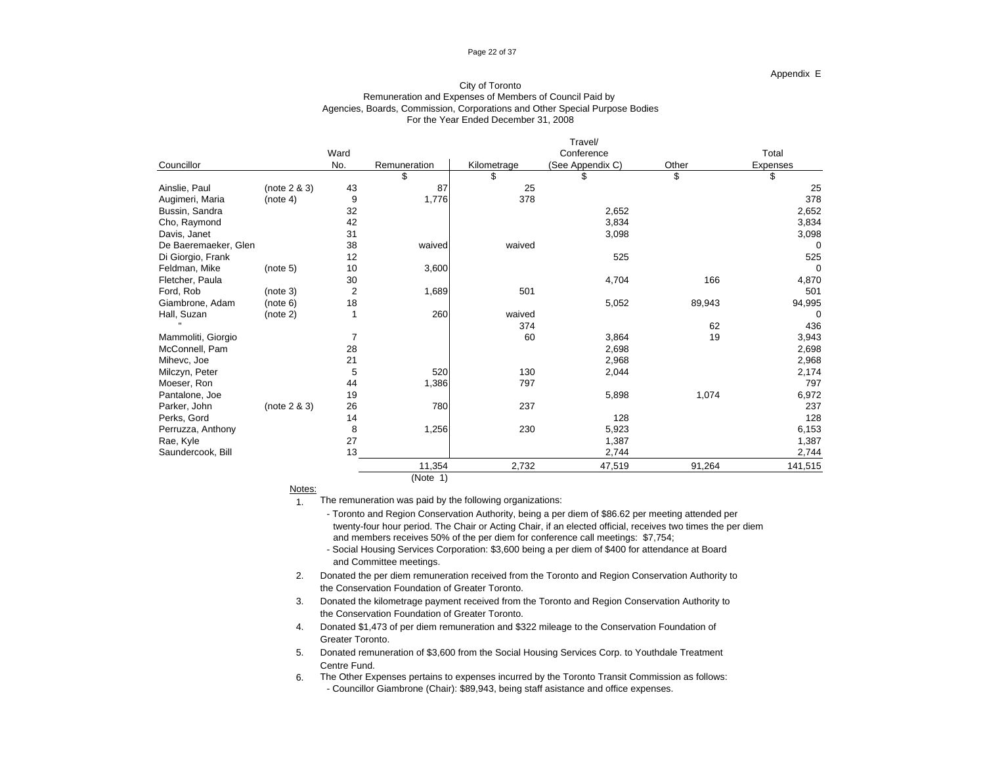#### Page 22 of 37

#### Appendix E

### For the Year Ended December 31, 2008 City of Toronto Remuneration and Expenses of Members of Council Paid by Agencies, Boards, Commission, Corporations and Other Special Purpose Bodies

| Councillor                                        | (note 2 & 3) | Ward<br>No. | Remuneration | Kilometrage   | Conference              |        | Total                                |
|---------------------------------------------------|--------------|-------------|--------------|---------------|-------------------------|--------|--------------------------------------|
|                                                   |              |             |              |               |                         |        |                                      |
|                                                   |              |             |              |               | (See Appendix C)        | Other  | Expenses<br><b>Contract Contract</b> |
|                                                   |              |             |              |               |                         |        |                                      |
| Ainslie, Paul                                     |              | 43          |              | 20            |                         |        |                                      |
|                                                   | (note 4)     |             | 1.776        | 378           |                         |        | 378                                  |
|                                                   |              | າາ          |              |               |                         |        |                                      |
| Augimeri, Maria<br>Bussin, Sandra<br>Cho, Raymond |              |             |              |               | 2,652<br>3,834<br>3,098 |        | 2,652<br>3,834<br>3,098              |
| Davis, Janet                                      |              |             |              |               |                         |        |                                      |
| De Baeremaeker, Glen                              |              | 38          | waived       | waived        |                         |        |                                      |
|                                                   |              | 12          |              |               | 525                     |        | 525                                  |
| Di Giorgio, Frank<br>Feldman, Mike                | (note 5)     | 10          | 3,600        |               |                         |        |                                      |
| Fletcher, Paula                                   |              | 30          |              |               | 4,704                   | 166    | 4,870                                |
|                                                   | (note 3)     |             | 1,689        | 501           |                         |        | 501                                  |
| Ford, Rob<br>Giambrone, Adam                      | (note 6)     | 18          |              |               | 5,052                   | 89,943 | 94,995                               |
| Hall, Suzan                                       | (note 2)     |             | 260          |               |                         |        |                                      |
| <b>CONTRACTOR</b>                                 |              |             |              | waived<br>374 |                         |        |                                      |
|                                                   |              |             |              |               |                         | 62     | 436                                  |
| Mammoliti, Giorgio                                |              |             |              | 60            | 3,864                   | 19     | 3,943<br>2,698                       |
| McConnell, Pam                                    |              |             |              |               | 2,698                   |        |                                      |
| Mihevc, Joe                                       |              |             |              |               | 2,968                   |        | 2,968                                |
| Milczyn, Peter                                    |              |             | 520          | 130<br>797    | 2,044                   |        | 2,174<br>797                         |
| Moeser, Ron                                       |              |             |              |               |                         |        |                                      |
| Pantalone, Joe                                    |              | 19          |              |               | 5,898                   | 1,074  | 6,972                                |
| Parker, John                                      | (note 2 & 3) | 26          | <b>780</b>   | 237           |                         |        | 237                                  |
| Perks, Gord                                       |              |             |              |               | 128                     |        | 128                                  |
| Perruzza, Anthony                                 |              |             | 1,256        | 230           | 5,923                   |        | 6,153                                |
| Rae, Kyle                                         |              |             |              |               | 1,387                   |        | 1,387                                |
| Saundercook, Bill                                 |              |             |              |               | 2,744                   |        | 2,744                                |
|                                                   |              |             | 11,354       | 2,732         | 47,519                  | 91,264 | 141,515                              |
|                                                   |              |             | (Note 1)     |               |                         |        |                                      |

notes: the contract of the contract of the contract of the contract of the contract of the contract of the contract of the contract of the contract of the contract of the contract of the contract of the contract of the con

1. The remuneration was paid by the following organizations:

and members receives 50% of the per diem for conference call meetings: \$7,754; - Toronto and Region Conservation Authority, being a per diem of \$86.62 per meeting attended per twenty-four hour period. The Chair or Acting Chair, if an elected official, receives two times the per diem

- Social Housing Services Corporation: \$3,600 being a per diem of \$400 for attendance at Board and Committee meetings.

2. Donated the per diem remuneration received from the Toronto and Region Conservation Authority to the Conservation Foundation of Greater Toronto.

3. Donated the kilometrage payment received from the Toronto and Region Conservation Authority to the Conservation Foundation of Greater Toronto.

4. Donated \$1,473 of per diem remuneration and \$322 mileage to the Conservation Foundation of Greater Toronto.

5. Donated remuneration of \$3,600 from the Social Housing Services Corp. to Youthdale Treatment Centre Fund.

6. The Other Expenses pertains to expenses incurred by the Toronto Transit Commission as follows: - Councillor Giambrone (Chair): \$89,943, being staff asistance and office expenses.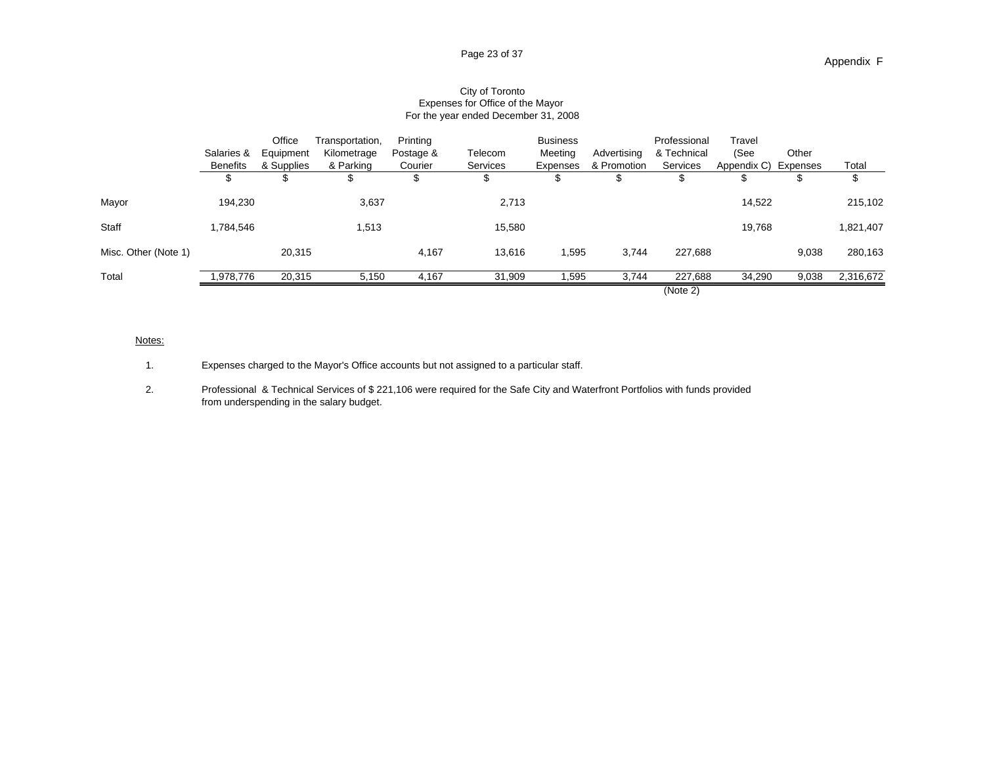|                      |           |                                            | Office Transportation, Printing |         |          | Business |       | Professional Travel |                                                          |                 |               |
|----------------------|-----------|--------------------------------------------|---------------------------------|---------|----------|----------|-------|---------------------|----------------------------------------------------------|-----------------|---------------|
|                      |           | Salaries & Equipment Kilometrage Postage & |                                 |         | Telecom  |          |       |                     | Meeting Advertising & Technical (See Other               |                 |               |
|                      |           | Benefits & Supplies & Parking              |                                 | Courier | Services |          |       |                     | Expenses & Promotion Services Appendix C) Expenses Total |                 |               |
|                      |           |                                            |                                 |         |          |          |       |                     |                                                          |                 |               |
| Mayor                | 194,230   |                                            | 3,637                           |         | 2,713    |          |       |                     | 14,522                                                   |                 | 215,102       |
|                      |           |                                            |                                 |         |          |          |       |                     |                                                          |                 |               |
| Staff                | 1,784,546 |                                            | 1,513                           |         | 15,580   |          |       |                     | 19,768                                                   |                 | 1,821,407     |
| Misc. Other (Note 1) |           | 20,315                                     |                                 | 4.167   | 13,616   | 1,595    | 3,744 | 227,688             |                                                          |                 | 9,038 280,163 |
| Total                |           |                                            |                                 |         | 31.YUY   | 1.595    | .744  | 227,688             | 34,290                                                   | 9,038 2,316,672 |               |
|                      |           |                                            |                                 |         |          |          |       | (Note 2)            |                                                          |                 |               |

### City of Toronto Expenses for Office of the Mayor For the year ended December 31, 2008

### <u>Notes:</u> with a state of the state of the state of the state of the state of the state of the state of the state of the state of the state of the state of the state of the state of the state of the state of the state of th

1. Expenses charged to the Mayor's Office accounts but not assigned to a particular staff.

2. Professional & Technical Services of \$ 221,106 were required for the Safe City and Waterfront Portfolios with funds provided from underspending in the salary budget.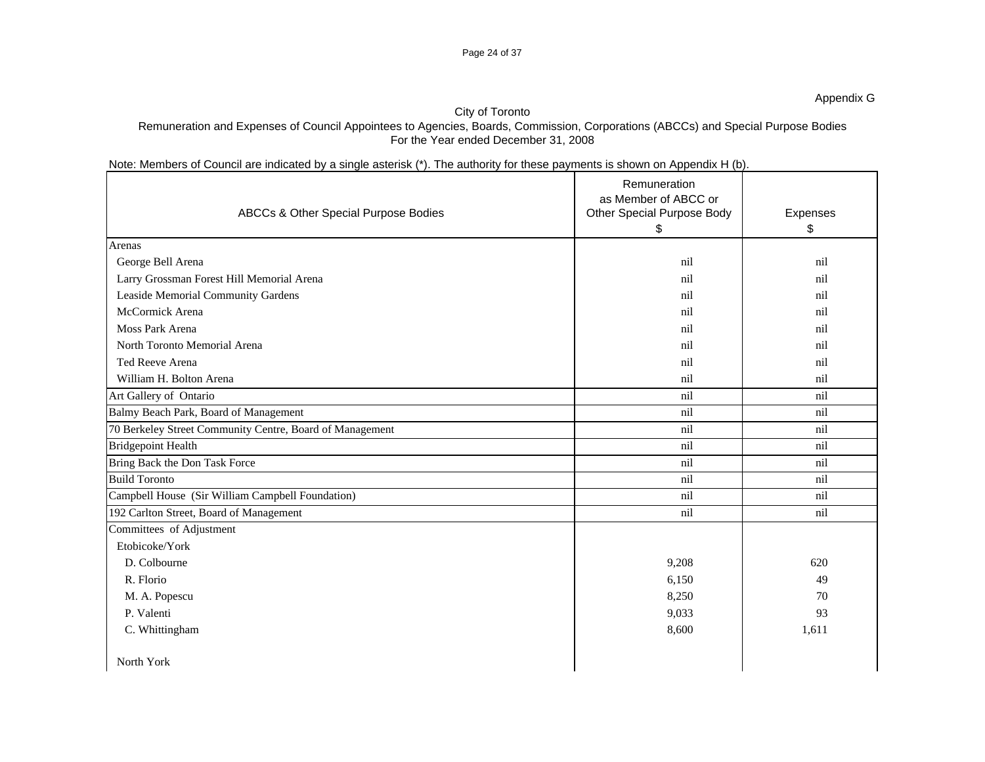### Page 24 of 37

### Appendix G

### City of Toronto

## Remuneration and Expenses of Council Appointees to Agencies, Boards, Commission, Corporations (ABCCs) and Special Purpose Bodies For the Year ended December 31, 2008

## Note: Members of Council are indicated by a single asterisk (\*). The authority for these payments is shown on Appendix H (b).

|                                                          | ABCCs & Other Special Purpose Bodies | Remuneration<br>as Member of ABCC or<br>Other Special Purpose Body | Expenses |
|----------------------------------------------------------|--------------------------------------|--------------------------------------------------------------------|----------|
|                                                          |                                      |                                                                    |          |
| Arenas                                                   |                                      |                                                                    |          |
| George Bell Arena                                        |                                      | ni                                                                 | nil      |
| Larry Grossman Forest Hill Memorial Arena                |                                      | ni                                                                 | nil      |
| Leaside Memorial Community Gardens                       |                                      |                                                                    | nil      |
| McCormick Arena                                          |                                      |                                                                    | nil      |
| Moss Park Arena                                          |                                      |                                                                    | nil      |
| North Toronto Memorial Arena                             |                                      |                                                                    | nil      |
| Ted Reeve Arena                                          |                                      |                                                                    | nil      |
| William H. Bolton Arena                                  |                                      | ni                                                                 | nil      |
| Art Gallery of Ontario                                   |                                      | nil                                                                | nil      |
| Balmy Beach Park, Board of Management                    |                                      | nil                                                                | nil      |
| 70 Berkeley Street Community Centre, Board of Management |                                      | nil                                                                | nil      |
| <b>Bridgepoint Health</b>                                |                                      | nil                                                                | nil      |
| Bring Back the Don Task Force                            |                                      | nil                                                                | nil      |
| <b>Build Toronto</b>                                     |                                      | nil                                                                | nil      |
| Campbell House (Sir William Campbell Foundation)         |                                      | nil                                                                | nil      |
| 192 Carlton Street, Board of Management                  |                                      | nil                                                                | nil      |
| Committees of Adjustment                                 |                                      |                                                                    |          |
| Etobicoke/York                                           |                                      |                                                                    |          |
| D. Colbourne                                             |                                      | 9,208                                                              | 620      |
| R. Florio                                                |                                      | 6,150                                                              | 49       |
| M. A. Popescu                                            |                                      | 8,250                                                              | 70       |
| P. Valenti                                               |                                      | 9,033                                                              | 93       |
| C. Whittingham                                           |                                      | 8,600                                                              | 1,611    |
|                                                          |                                      |                                                                    |          |
| North York                                               |                                      |                                                                    |          |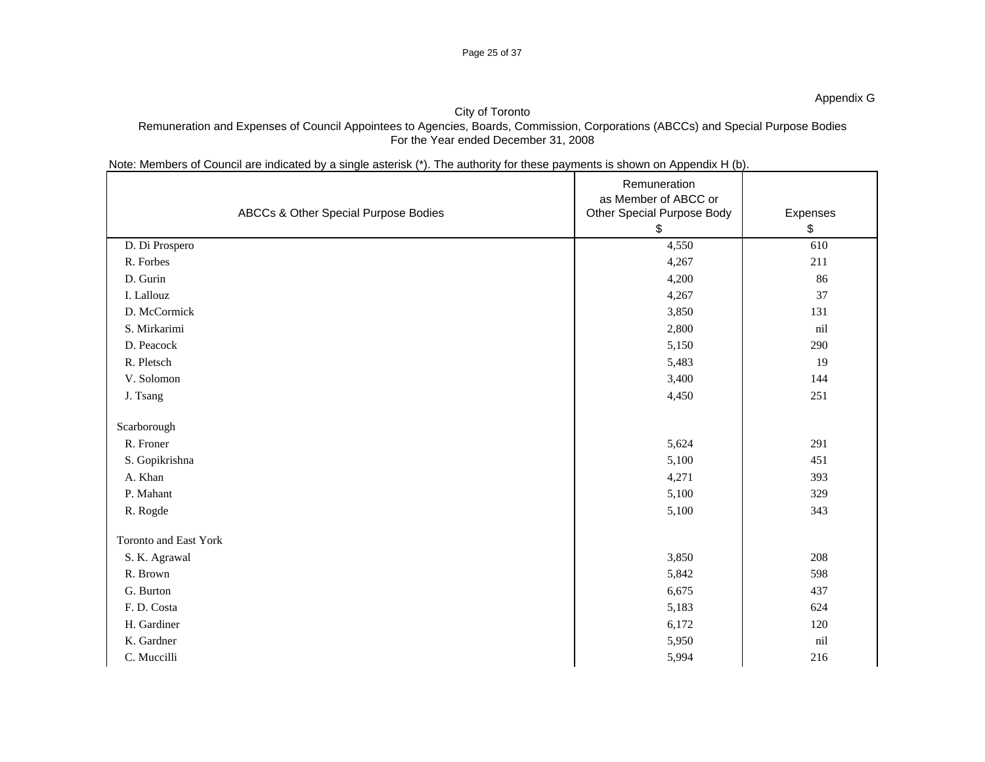### Page 25 of 37

### City of Toronto Remuneration and Expenses of Council Appointees to Agencies, Boards, Commission, Corporations (ABCCs) and Special Purpose Bodies For the Year ended December 31, 2008

## Note: Members of Council are indicated by a single asterisk (\*). The authority for these payments is shown on Appendix H (b).

|                       | ABCCs & Other Special Purpose Bodies | Remuneration<br>as Member of ABCC or<br>Other Special Purpose Body | Expenses |
|-----------------------|--------------------------------------|--------------------------------------------------------------------|----------|
|                       |                                      |                                                                    |          |
| D. Di Prospero        |                                      | 4,550                                                              | 610      |
| R. Forbes             |                                      | 4,267                                                              | 211      |
| D. Gurin              |                                      | 4,200                                                              | 86       |
| I. Lallouz            |                                      | 4,267                                                              | 37       |
| D. McCormick          |                                      | 3,850                                                              | 131      |
| S. Mirkarimi          |                                      | 2,800                                                              | nil      |
| D. Peacock            |                                      | 5,150                                                              | 290      |
| R. Pletsch            |                                      | 5,483                                                              | 19       |
| V. Solomon            |                                      | 3,400                                                              | 144      |
| J. Tsang              |                                      | 4,450                                                              | 251      |
| Scarborough           |                                      |                                                                    |          |
| R. Froner             |                                      | 5,624                                                              | 291      |
| S. Gopikrishna        |                                      | 5,100                                                              | 451      |
| A. Khan               |                                      | 4,271                                                              | 393      |
| P. Mahant             |                                      | 5,100                                                              | 329      |
| R. Rogde              |                                      | 5,100                                                              | 343      |
|                       |                                      |                                                                    |          |
| Toronto and East York |                                      |                                                                    |          |
| S. K. Agrawal         |                                      | 3,850                                                              | 208      |
| R. Brown              |                                      | 5,842                                                              | 598      |
| G. Burton             |                                      | 6,675                                                              | 437      |
| F. D. Costa           |                                      | 5,183                                                              | 624      |
| H. Gardiner           |                                      | 6,172                                                              | 120      |
| K. Gardner            |                                      | 5,950                                                              | nil      |
| C. Muccilli           |                                      | 5,994                                                              | 216      |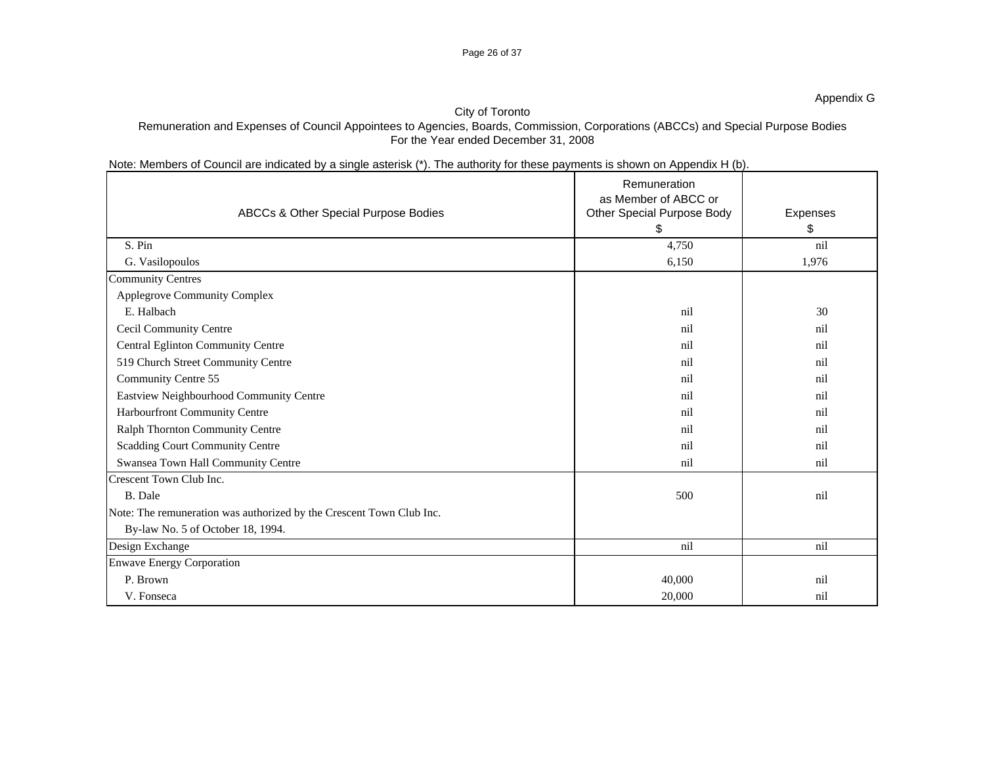### Page 26 of 37

### City of Toronto

Remuneration and Expenses of Council Appointees to Agencies, Boards, Commission, Corporations (ABCCs) and Special Purpose Bodies For the Year ended December 31, 2008

| Note: Members of Council are indicated by a single asterisk (*). The authority for these payments is shown on Appendix H (b). |  |
|-------------------------------------------------------------------------------------------------------------------------------|--|
|                                                                                                                               |  |

|                                                                      | Remuneration                      |          |
|----------------------------------------------------------------------|-----------------------------------|----------|
|                                                                      | as Member of ABCC or              |          |
| ABCCs & Other Special Purpose Bodies                                 | <b>Other Special Purpose Body</b> | Expenses |
|                                                                      |                                   |          |
| S. Pin                                                               | 4,750                             | nil      |
| G. Vasilopoulos                                                      | 6,150                             | 1,976    |
| <b>Community Centres</b>                                             |                                   |          |
| Applegrove Community Complex                                         |                                   |          |
| E. Halbach                                                           | nil                               | 30       |
| Cecil Community Centre                                               | nil                               | nil      |
| Central Eglinton Community Centre                                    |                                   | nil      |
| 519 Church Street Community Centre                                   |                                   | ni       |
| <b>Community Centre 55</b>                                           |                                   | nil      |
| Eastview Neighbourhood Community Centre                              |                                   |          |
| <b>Harbourfront Community Centre</b>                                 |                                   | ni1      |
| Ralph Thornton Community Centre                                      |                                   | ni       |
| Scadding Court Community Centre                                      |                                   | ni       |
| Swansea Town Hall Community Centre                                   | n <sub>i</sub> 1                  | nil      |
| Crescent Town Club Inc.                                              |                                   |          |
| B. Dale                                                              | 500                               | nil      |
| Note: The remuneration was authorized by the Crescent Town Club Inc. |                                   |          |
| By-law No. 5 of October 18, 1994.                                    |                                   |          |
| Design Exchange                                                      | nil                               | nil      |
| <b>Enwave Energy Corporation</b>                                     |                                   |          |
| P. Brown                                                             | 40,000                            | nil      |
| V. Fonseca                                                           | 20,000                            | nil      |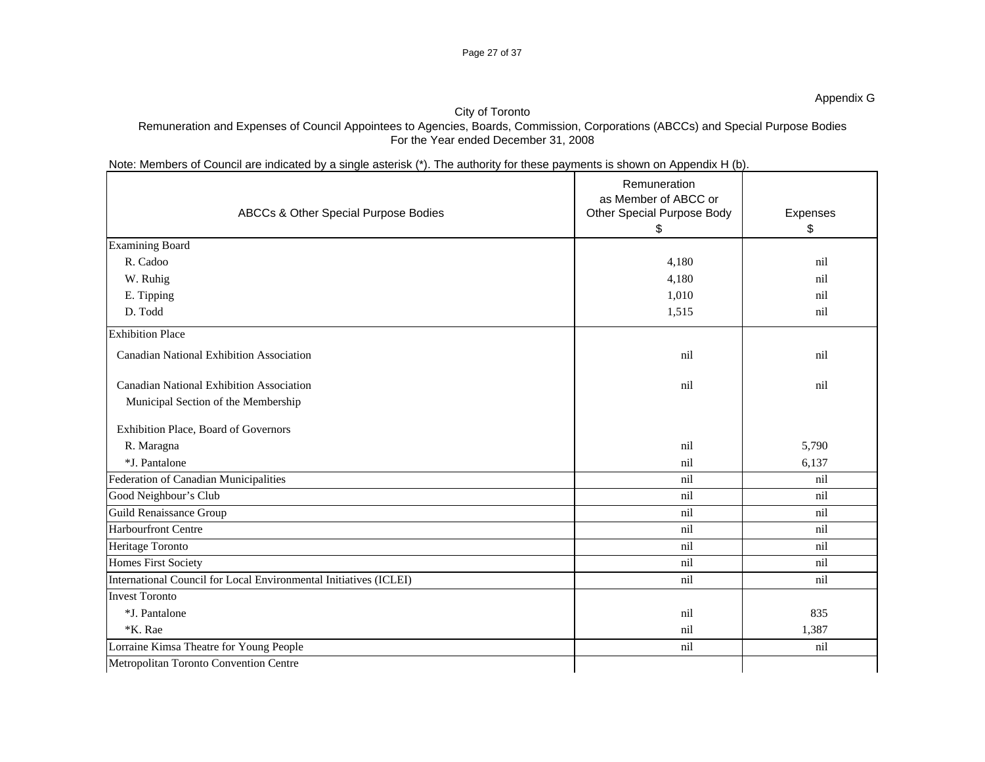### Page 27 of 37

### City of Toronto Remuneration and Expenses of Council Appointees to Agencies, Boards, Commission, Corporations (ABCCs) and Special Purpose Bodies For the Year ended December 31, 2008

## Note: Members of Council are indicated by a single asterisk (\*). The authority for these payments is shown on Appendix H (b).

|                                         |                                                                   | Remuneration<br>as Member of ABCC or |          |
|-----------------------------------------|-------------------------------------------------------------------|--------------------------------------|----------|
|                                         | ABCCs & Other Special Purpose Bodies                              | <b>Other Special Purpose Body</b>    | Expenses |
|                                         |                                                                   |                                      |          |
| Examining Board                         |                                                                   |                                      |          |
| R. Cadoo                                |                                                                   | 4,180                                | nil      |
| W. Ruhig                                |                                                                   | 4,180                                | nil      |
| E. Tipping                              |                                                                   | 1,010                                | nil      |
| D. Todd                                 |                                                                   | 1,515                                | nil      |
| <b>Exhibition Place</b>                 |                                                                   |                                      |          |
|                                         | <b>Canadian National Exhibition Association</b>                   | nil                                  | nil      |
|                                         | <b>Canadian National Exhibition Association</b>                   | nil                                  | nil      |
|                                         | Municipal Section of the Membership                               |                                      |          |
| Exhibition Place, Board of Governors    |                                                                   |                                      |          |
| R. Maragna                              |                                                                   | nil                                  | 5,790    |
| *J. Pantalone                           |                                                                   | nil                                  | 6,137    |
| Federation of Canadian Municipalities   |                                                                   | nil                                  | nil      |
| Good Neighbour's Club                   |                                                                   | nil                                  | nil      |
| <b>Guild Renaissance Group</b>          |                                                                   | nil                                  | nil      |
| <b>Harbourfront Centre</b>              |                                                                   | nil                                  | nil      |
| Heritage Toronto                        |                                                                   | nil                                  | nil      |
| <b>Homes First Society</b>              |                                                                   | nil                                  | nil      |
|                                         | International Council for Local Environmental Initiatives (ICLEI) | nil                                  | nil      |
| <b>Invest Toronto</b>                   |                                                                   |                                      |          |
| *J. Pantalone                           |                                                                   | nil                                  | 835      |
| *K. Rae                                 |                                                                   | nil                                  | 1,387    |
| Lorraine Kimsa Theatre for Young People |                                                                   | nil                                  | nil      |
| Metropolitan Toronto Convention Centre  |                                                                   |                                      |          |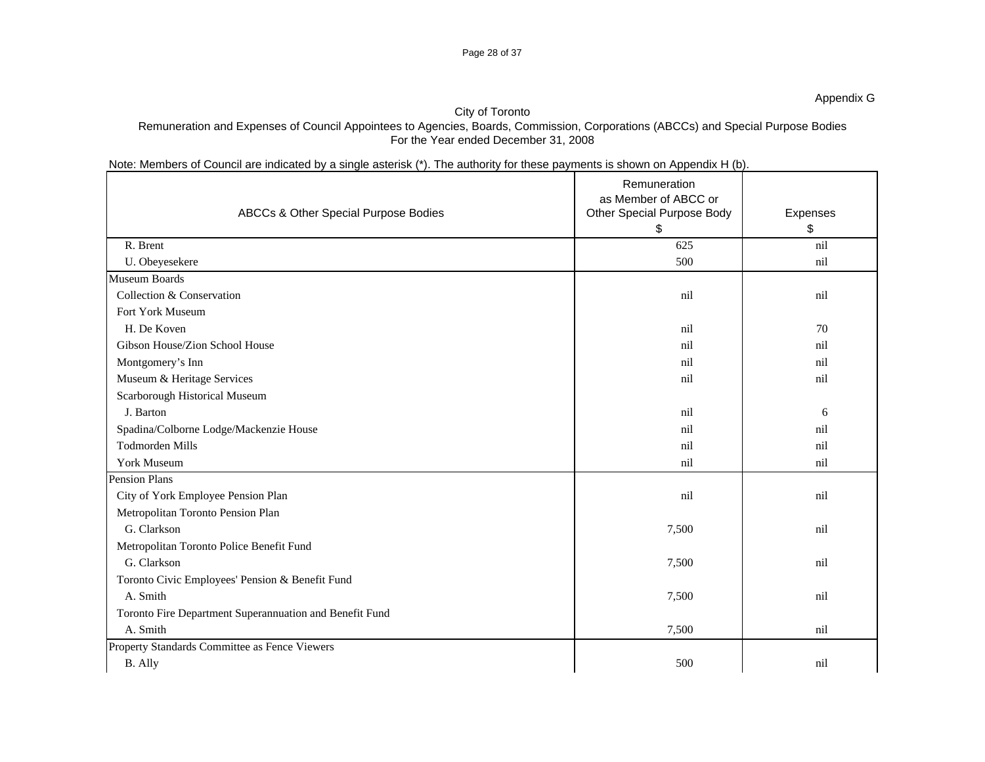### Page 28 of 37

Appendix G

## City of Toronto

## Remuneration and Expenses of Council Appointees to Agencies, Boards, Commission, Corporations (ABCCs) and Special Purpose Bodies For the Year ended December 31, 2008

## Note: Members of Council are indicated by a single asterisk (\*). The authority for these payments is shown on Appendix H (b).

|                                   |                                                         | Remuneration<br>as Member of ABCC or |          |
|-----------------------------------|---------------------------------------------------------|--------------------------------------|----------|
|                                   | ABCCs & Other Special Purpose Bodies                    | Other Special Purpose Body           | Expenses |
|                                   |                                                         |                                      |          |
| R. Brent                          |                                                         | 625                                  | nil      |
| U. Obeyesekere                    |                                                         | 500                                  | nil      |
| Museum Boards                     |                                                         |                                      |          |
| Collection & Conservation         |                                                         | nil                                  | nil      |
| Fort York Museum                  |                                                         |                                      |          |
| H. De Koven                       |                                                         | nil                                  | 70       |
| Gibson House/Zion School House    |                                                         | nil                                  | nil      |
| Montgomery's Inn                  |                                                         | nil                                  | nil      |
| Museum & Heritage Services        |                                                         |                                      | nil      |
| Scarborough Historical Museum     |                                                         |                                      |          |
| J. Barton                         |                                                         | nil                                  |          |
|                                   | Spadina/Colborne Lodge/Mackenzie House                  | nil                                  | nil      |
| Todmorden Mills                   |                                                         |                                      |          |
| York Museum                       |                                                         | nil                                  | nil      |
| Pension Plans                     |                                                         |                                      |          |
|                                   | City of York Employee Pension Plan                      | nil                                  | nil      |
| Metropolitan Toronto Pension Plan |                                                         |                                      |          |
| G. Clarkson                       |                                                         | 7,500                                | nil      |
|                                   | Metropolitan Toronto Police Benefit Fund                |                                      |          |
| G. Clarkson                       |                                                         | 7,500                                | nil      |
|                                   | Toronto Civic Employees' Pension & Benefit Fund         |                                      |          |
| A. Smith                          |                                                         | 7,500                                | nil      |
|                                   | Toronto Fire Department Superannuation and Benefit Fund |                                      |          |
| A. Smith                          |                                                         | 7,500                                | nil      |
|                                   | Property Standards Committee as Fence Viewers           |                                      |          |
| B. Ally                           |                                                         | 500                                  | nil      |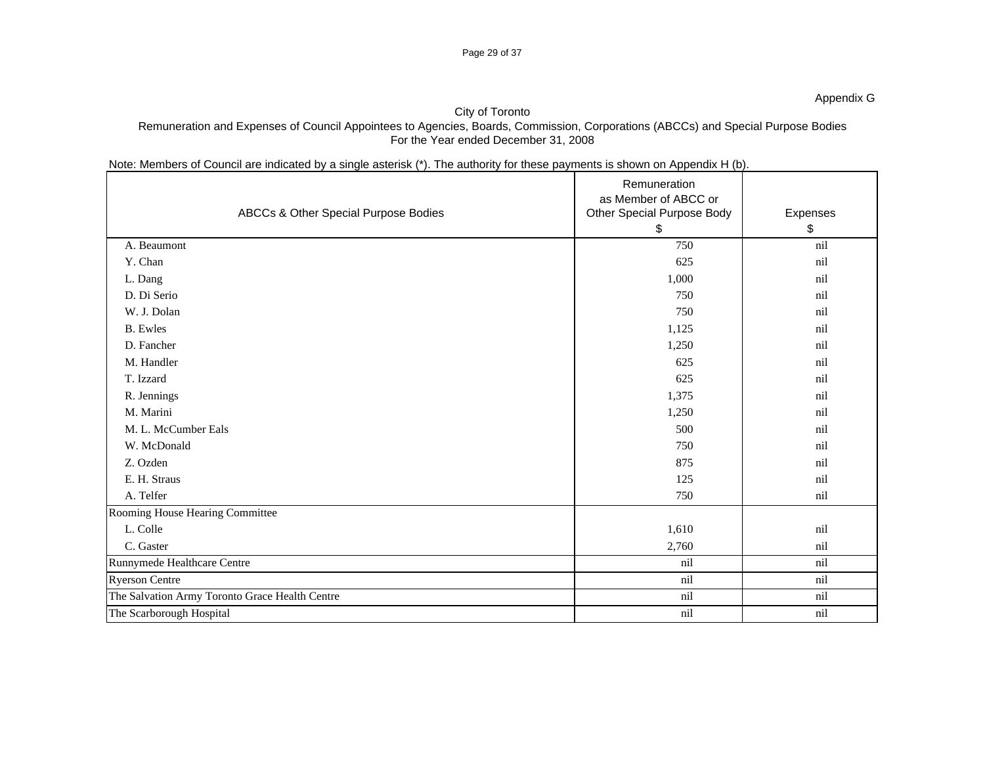### Page 29 of 37

### City of Toronto Remuneration and Expenses of Council Appointees to Agencies, Boards, Commission, Corporations (ABCCs) and Special Purpose Bodies For the Year ended December 31, 2008

## Note: Members of Council are indicated by a single asterisk (\*). The authority for these payments is shown on Appendix H (b).

|                                 | ABCCs & Other Special Purpose Bodies           | Remuneration<br>as Member of ABCC or<br>Other Special Purpose Body | Expenses |
|---------------------------------|------------------------------------------------|--------------------------------------------------------------------|----------|
| A. Beaumont                     |                                                | 750                                                                | nil      |
| Y. Chan                         |                                                | 625                                                                | nil      |
| L. Dang                         |                                                | 1,000                                                              | nil      |
| D. Di Serio                     |                                                | 750                                                                | nil      |
| W. J. Dolan                     |                                                | 750                                                                | nil      |
| <b>B.</b> Ewles                 |                                                | 1,125                                                              | nil      |
| D. Fancher                      |                                                | 1,250                                                              | nil      |
| M. Handler                      |                                                | 625                                                                | nil      |
| T. Izzard                       |                                                | 625                                                                | nil      |
| R. Jennings                     |                                                | 1,375                                                              | nil      |
| M. Marini                       |                                                | 1,250                                                              | nil      |
| M. L. McCumber Eals             |                                                | 500                                                                | nil      |
| W. McDonald                     |                                                | 750                                                                | nil      |
| Z. Ozden                        |                                                | 875                                                                | nil      |
| E. H. Straus                    |                                                | 125                                                                | nil      |
| A. Telfer                       |                                                | 750                                                                | nil      |
| Rooming House Hearing Committee |                                                |                                                                    |          |
| L. Colle                        |                                                | 1,610                                                              | nil      |
| C. Gaster                       |                                                | 2,760                                                              | nil      |
| Runnymede Healthcare Centre     |                                                | nil                                                                | nil      |
| <b>Ryerson Centre</b>           |                                                | nil                                                                | nil      |
|                                 | The Salvation Army Toronto Grace Health Centre | nil                                                                | nil      |
| The Scarborough Hospital        |                                                | nil                                                                | nil      |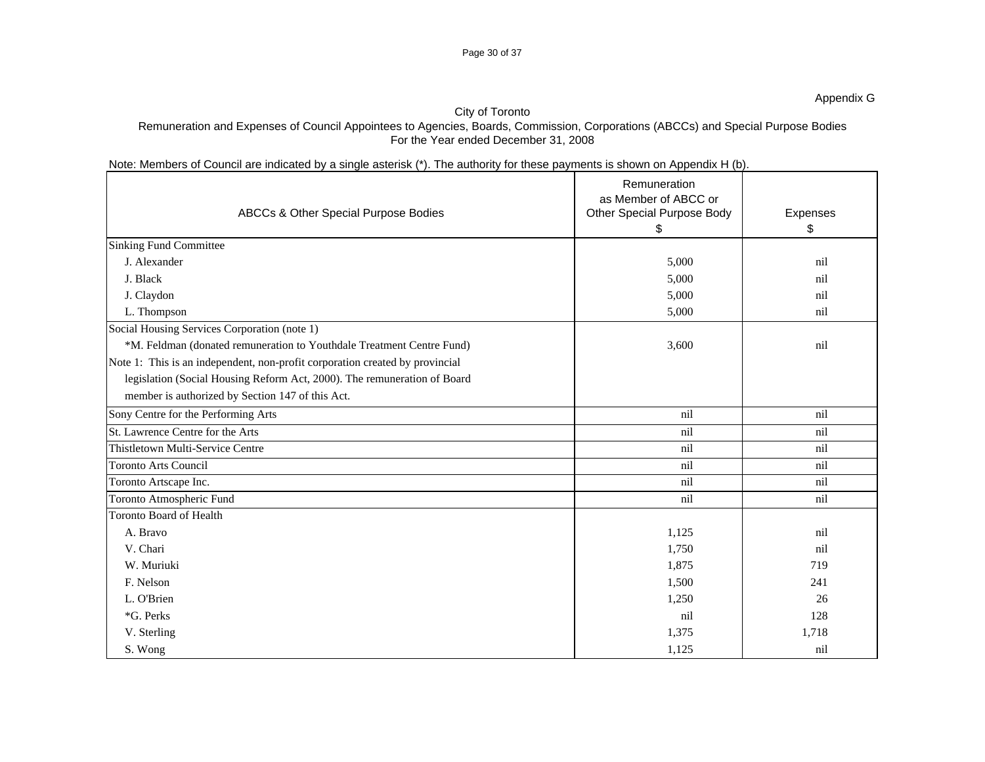### Page 30 of 37

## City of Toronto

## Remuneration and Expenses of Council Appointees to Agencies, Boards, Commission, Corporations (ABCCs) and Special Purpose Bodies For the Year ended December 31, 2008

## Note: Members of Council are indicated by a single asterisk (\*). The authority for these payments is shown on Appendix H (b).

|                                                                              | Remuneration                      |          |
|------------------------------------------------------------------------------|-----------------------------------|----------|
|                                                                              | as Member of ABCC or              |          |
| ABCCs & Other Special Purpose Bodies                                         | <b>Other Special Purpose Body</b> | Expenses |
|                                                                              |                                   |          |
| <b>Sinking Fund Committee</b>                                                |                                   |          |
| J. Alexander                                                                 | 5,000                             | nil      |
| J. Black                                                                     | 5,000                             | nil      |
| J. Claydon                                                                   | 5,000                             | nil      |
| L. Thompson                                                                  | 5,000                             | nil      |
| Social Housing Services Corporation (note 1)                                 |                                   |          |
| *M. Feldman (donated remuneration to Youthdale Treatment Centre Fund)        | 3,600                             | nil      |
| Note 1: This is an independent, non-profit corporation created by provincial |                                   |          |
| legislation (Social Housing Reform Act, 2000). The remuneration of Board     |                                   |          |
| member is authorized by Section 147 of this Act.                             |                                   |          |
| Sony Centre for the Performing Arts                                          | nil                               | nil      |
| St. Lawrence Centre for the Arts                                             | nil                               | nil      |
| Thistletown Multi-Service Centre                                             | nil                               | nil      |
| Toronto Arts Council                                                         | nil                               | nil      |
| Toronto Artscape Inc.                                                        | nil                               | nil      |
| Toronto Atmospheric Fund                                                     | nil                               | nil      |
| Toronto Board of Health                                                      |                                   |          |
| A. Bravo                                                                     | 1,125                             | nil      |
| V. Chari                                                                     | 1,750                             | nil      |
| W. Muriuki                                                                   | 1,875                             | 719      |
| F. Nelson                                                                    | 1,500                             | 241      |
| L. O'Brien                                                                   | 1,250                             | 26       |
| *G. Perks                                                                    | nil                               | 128      |
| V. Sterling                                                                  | 1,375                             | 1,718    |
| S. Wong                                                                      | 1,125                             | nil      |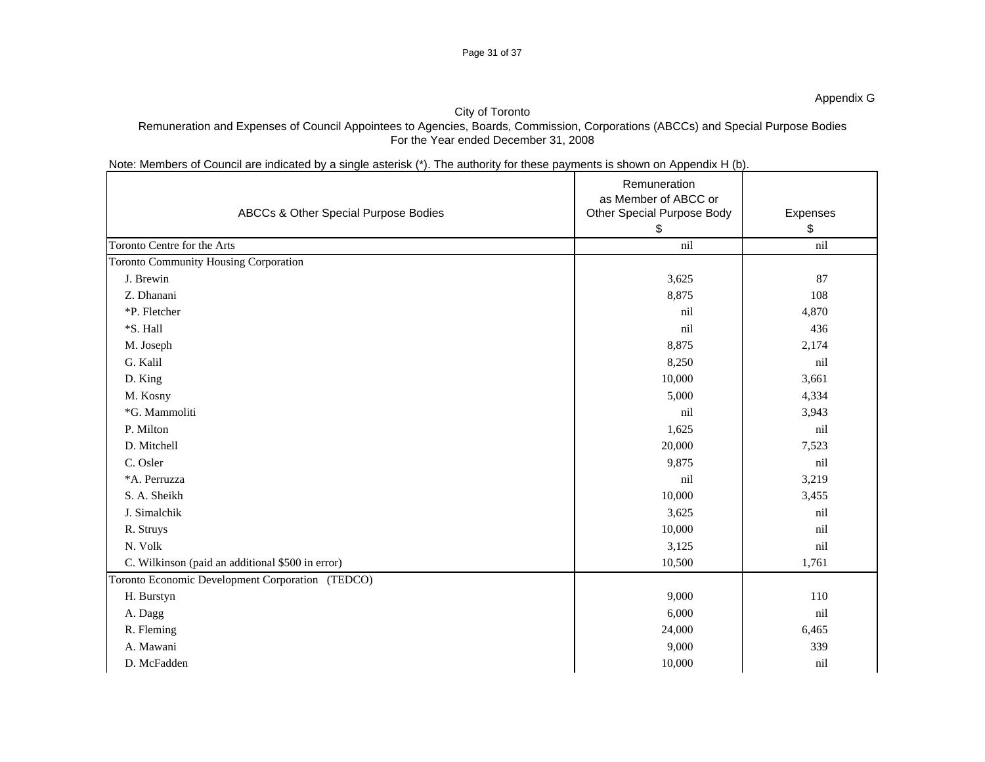### Page 31 of 37

# City of Toronto

Remuneration and Expenses of Council Appointees to Agencies, Boards, Commission, Corporations (ABCCs) and Special Purpose Bodies For the Year ended December 31, 2008

## Note: Members of Council are indicated by a single asterisk (\*). The authority for these payments is shown on Appendix H (b).

|                                                  | ABCCs & Other Special Purpose Bodies | Remuneration<br>as Member of ABCC or<br>Other Special Purpose Body | Expenses |
|--------------------------------------------------|--------------------------------------|--------------------------------------------------------------------|----------|
|                                                  |                                      |                                                                    |          |
| Toronto Centre for the Arts                      |                                      | nil                                                                | nil      |
| Toronto Community Housing Corporation            |                                      |                                                                    |          |
| J. Brewin                                        |                                      | 3,625                                                              | 87       |
| Z. Dhanani                                       |                                      | 8,875                                                              | 108      |
| *P. Fletcher                                     |                                      | nil                                                                | 4,870    |
| *S. Hall                                         |                                      | nil                                                                | 436      |
| M. Joseph                                        |                                      | 8,875                                                              | 2,174    |
| G. Kalil                                         |                                      | 8,250                                                              | nil      |
| D. King                                          |                                      | 10,000                                                             | 3,661    |
| M. Kosny                                         |                                      | 5,000                                                              | 4,334    |
| *G. Mammoliti                                    |                                      | nil                                                                | 3,943    |
| P. Milton                                        |                                      | 1,625                                                              | nil      |
| D. Mitchell                                      |                                      | 20,000                                                             | 7,523    |
| C. Osler                                         |                                      | 9,875                                                              | nil      |
| *A. Perruzza                                     |                                      | nil                                                                | 3,219    |
| S. A. Sheikh                                     |                                      | 10,000                                                             | 3,455    |
| J. Simalchik                                     |                                      | 3,625                                                              | nil      |
| R. Struys                                        |                                      | 10,000                                                             | nil      |
| N. Volk                                          |                                      | 3,125                                                              | nil      |
| C. Wilkinson (paid an additional \$500 in error) |                                      | 10,500                                                             | 1,761    |
| Toronto Economic Development Corporation (TEDCO) |                                      |                                                                    |          |
| H. Burstyn                                       |                                      | 9,000                                                              | 110      |
| A. Dagg                                          |                                      | 6,000                                                              | nil      |
| R. Fleming                                       |                                      | 24,000                                                             | 6,465    |
| A. Mawani                                        |                                      | 9,000                                                              | 339      |
| D. McFadden                                      |                                      | 10,000                                                             | nil      |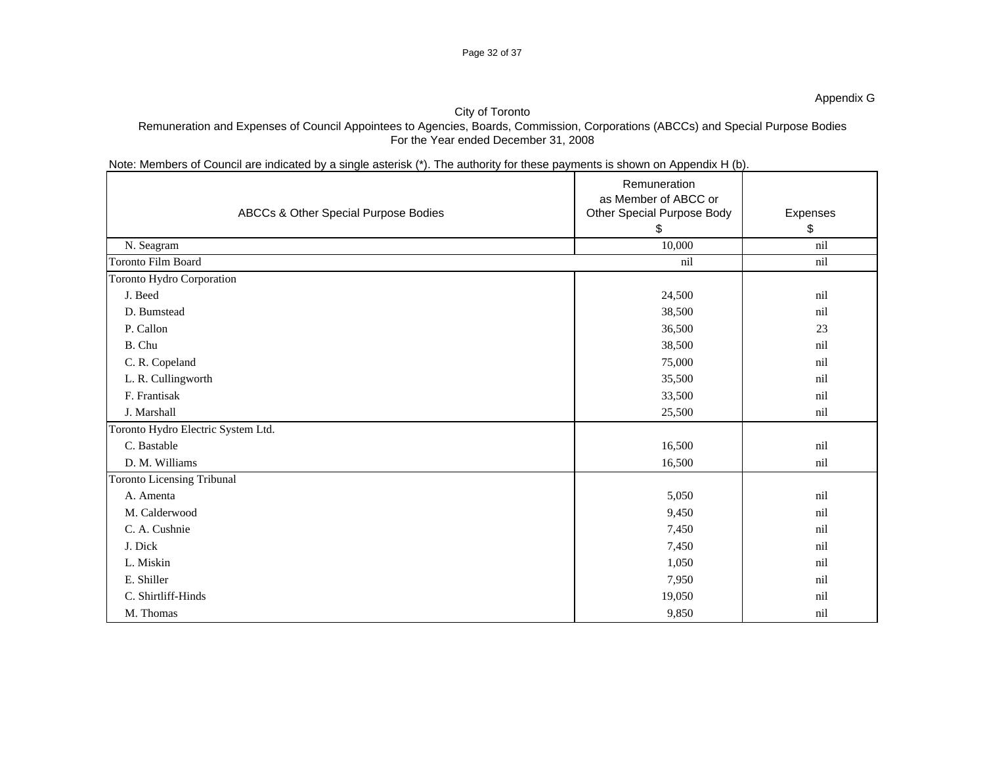### Page 32 of 37

### Appendix G

### City of Toronto

### Remuneration and Expenses of Council Appointees to Agencies, Boards, Commission, Corporations (ABCCs) and Special Purpose Bodies For the Year ended December 31, 2008

## Note: Members of Council are indicated by a single asterisk (\*). The authority for these payments is shown on Appendix H (b).

|                                      | Remuneration                                              |          |
|--------------------------------------|-----------------------------------------------------------|----------|
| ABCCs & Other Special Purpose Bodies | as Member of ABCC or<br><b>Other Special Purpose Body</b> | Expenses |
|                                      |                                                           |          |
| N. Seagram                           | 10,000                                                    | nil      |
| Toronto Film Board                   | nil                                                       | nil      |
| Toronto Hydro Corporation            |                                                           |          |
| J. Beed                              | 24,500                                                    | nil      |
| D. Bumstead                          | 38,500                                                    | nil      |
| P. Callon                            | 36,500                                                    | 23       |
|                                      |                                                           |          |
| B. Chu                               | 38,500                                                    | nil      |
| C. R. Copeland                       | 75,000                                                    | nil      |
| L. R. Cullingworth                   | 35,500                                                    | nil      |
| F. Frantisak                         | 33,500                                                    | nil      |
| J. Marshall                          | 25,500                                                    | nil      |
| Toronto Hydro Electric System Ltd.   |                                                           |          |
| C. Bastable                          | 16,500                                                    | nil      |
| D. M. Williams                       | 16,500                                                    | nil      |
| <b>Toronto Licensing Tribunal</b>    |                                                           |          |
| A. Amenta                            | 5,050                                                     | nil      |
| M. Calderwood                        | 9,450                                                     | nil      |
| C. A. Cushnie                        | 7,450                                                     | nil      |
| J. Dick                              | 7,450                                                     | nil      |
| L. Miskin                            | 1,050                                                     | nil      |
| E. Shiller                           | 7,950                                                     | nil      |
| C. Shirtliff-Hinds                   | 19,050                                                    | nil      |
| M. Thomas                            | 9,850                                                     | nil      |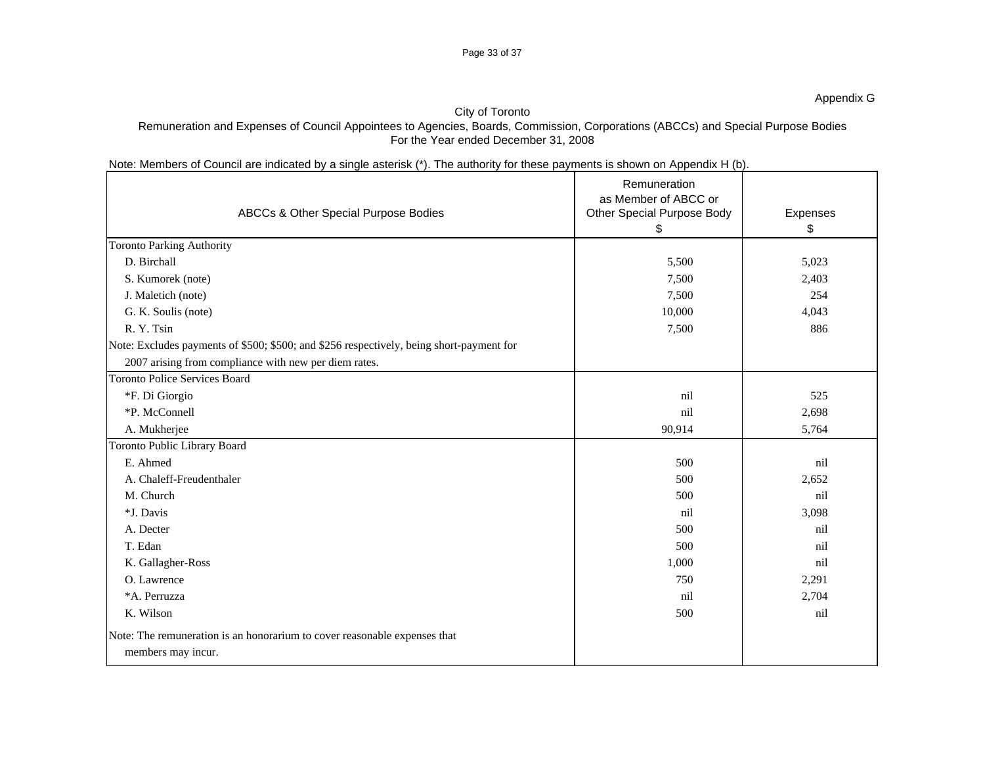### Page 33 of 37

## City of Toronto

## Remuneration and Expenses of Council Appointees to Agencies, Boards, Commission, Corporations (ABCCs) and Special Purpose Bodies For the Year ended December 31, 2008

## Note: Members of Council are indicated by a single asterisk (\*). The authority for these payments is shown on Appendix H (b).

| ABCCs & Other Special Purpose Bodies                                                     | Remuneration<br>as Member of ABCC or<br><b>Other Special Purpose Body</b> |          |
|------------------------------------------------------------------------------------------|---------------------------------------------------------------------------|----------|
|                                                                                          |                                                                           | Expenses |
| <b>Toronto Parking Authority</b>                                                         |                                                                           |          |
| D. Birchall                                                                              | 5,500                                                                     | 5,023    |
| S. Kumorek (note)                                                                        | 7,500                                                                     | 2,403    |
| J. Maletich (note)                                                                       | 7,500                                                                     | 254      |
| G. K. Soulis (note)                                                                      | 10,000                                                                    | 4,043    |
| R.Y.Tsin                                                                                 | 7,500                                                                     | 886      |
| Note: Excludes payments of \$500; \$500; and \$256 respectively, being short-payment for |                                                                           |          |
| 2007 arising from compliance with new per diem rates.                                    |                                                                           |          |
| Toronto Police Services Board                                                            |                                                                           |          |
| *F. Di Giorgio                                                                           | nil                                                                       | 525      |
| *P. McConnell                                                                            | nil                                                                       | 2,698    |
| A. Mukherjee                                                                             | 90,914                                                                    | 5,764    |
| Toronto Public Library Board                                                             |                                                                           |          |
| E. Ahmed                                                                                 | 500                                                                       | nil      |
| A. Chaleff-Freudenthaler                                                                 | 500                                                                       | 2,652    |
| M. Church                                                                                | 500                                                                       | nil      |
| *J. Davis                                                                                | nil                                                                       | 3,098    |
| A. Decter                                                                                | 500                                                                       | nil      |
| T. Edan                                                                                  | 500                                                                       | nil      |
| K. Gallagher-Ross                                                                        | 1,000                                                                     | nil      |
| O. Lawrence                                                                              | 750                                                                       | 2,291    |
| *A. Perruzza                                                                             | nil                                                                       | 2,704    |
| K. Wilson                                                                                | 500                                                                       | nil      |
| Note: The remuneration is an honorarium to cover reasonable expenses that                |                                                                           |          |
| members may incur.                                                                       |                                                                           |          |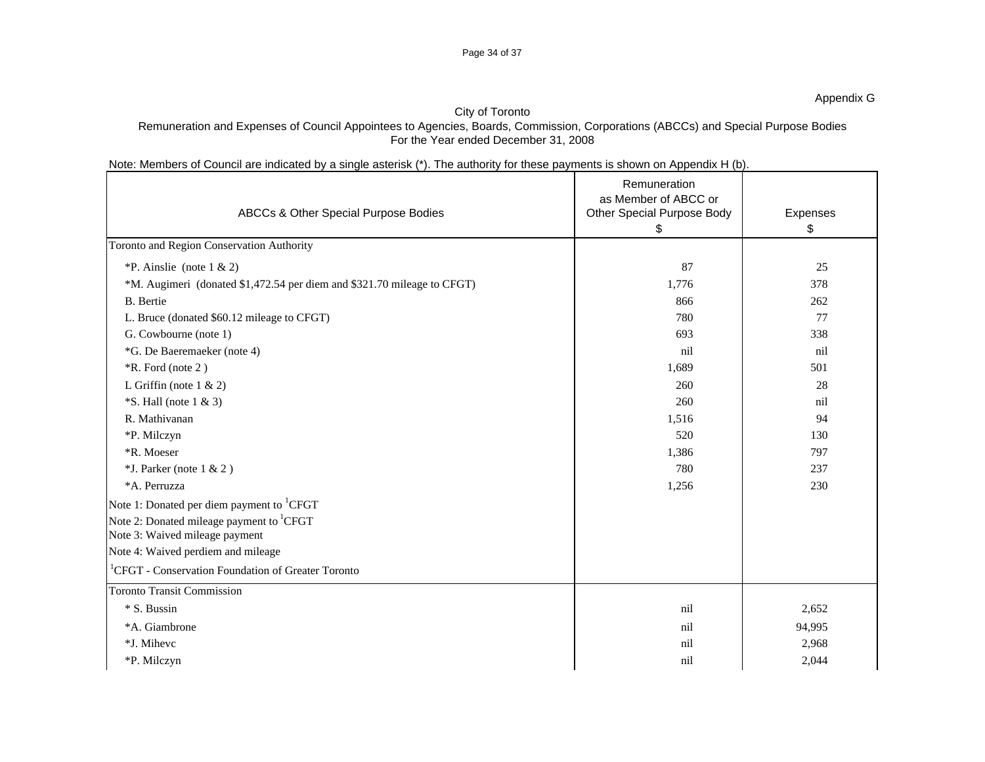### Page 34 of 37

### Appendix G

### City of Toronto

## Remuneration and Expenses of Council Appointees to Agencies, Boards, Commission, Corporations (ABCCs) and Special Purpose Bodies For the Year ended December 31, 2008

## Note: Members of Council are indicated by a single asterisk (\*). The authority for these payments is shown on Appendix H (b).

|                                                                         | Remuneration<br>as Member of ABCC or |          |
|-------------------------------------------------------------------------|--------------------------------------|----------|
| ABCCs & Other Special Purpose Bodies                                    | <b>Other Special Purpose Body</b>    | Expenses |
|                                                                         |                                      |          |
| Toronto and Region Conservation Authority                               |                                      |          |
| *P. Ainslie (note $1 \& 2$ )                                            | 87                                   | 25       |
| *M. Augimeri (donated \$1,472.54 per diem and \$321.70 mileage to CFGT) | 1,776                                | 378      |
| <b>B.</b> Bertie                                                        | 866                                  | 262      |
| L. Bruce (donated \$60.12 mileage to CFGT)                              | 780                                  | 77       |
| G. Cowbourne (note 1)                                                   | 693                                  | 338      |
| *G. De Baeremaeker (note 4)                                             | nil                                  | nil      |
| *R. Ford (note 2)                                                       | 1,689                                | 501      |
| L Griffin (note $1 & 2$ )                                               | 260                                  | 28       |
| $\cdot$ S. Hall (note 1 & 3)                                            | 260                                  | nil      |
| R. Mathivanan                                                           | 1,516                                | 94       |
| *P. Milczyn                                                             | 520                                  | 130      |
| *R. Moeser                                                              | 1,386                                | 797      |
| $*$ J. Parker (note 1 & 2)                                              | 780                                  | 237      |
| *A. Perruzza                                                            | 1,256                                | 230      |
| Note 1: Donated per diem payment to <sup>1</sup> CFGT                   |                                      |          |
| Note 2: Donated mileage payment to <sup>1</sup> CFGT                    |                                      |          |
| Note 3: Waived mileage payment                                          |                                      |          |
| Note 4: Waived perdiem and mileage                                      |                                      |          |
| $\vert$ <sup>1</sup> CFGT - Conservation Foundation of Greater Toronto  |                                      |          |
| <b>Toronto Transit Commission</b>                                       |                                      |          |
| * S. Bussin                                                             | nil                                  | 2,652    |
| *A. Giambrone                                                           | ni                                   | 94,995   |
| *J. Mihevc                                                              | n <sub>1</sub>                       | 2,968    |
| *P. Milczyn                                                             | nil                                  | 2,044    |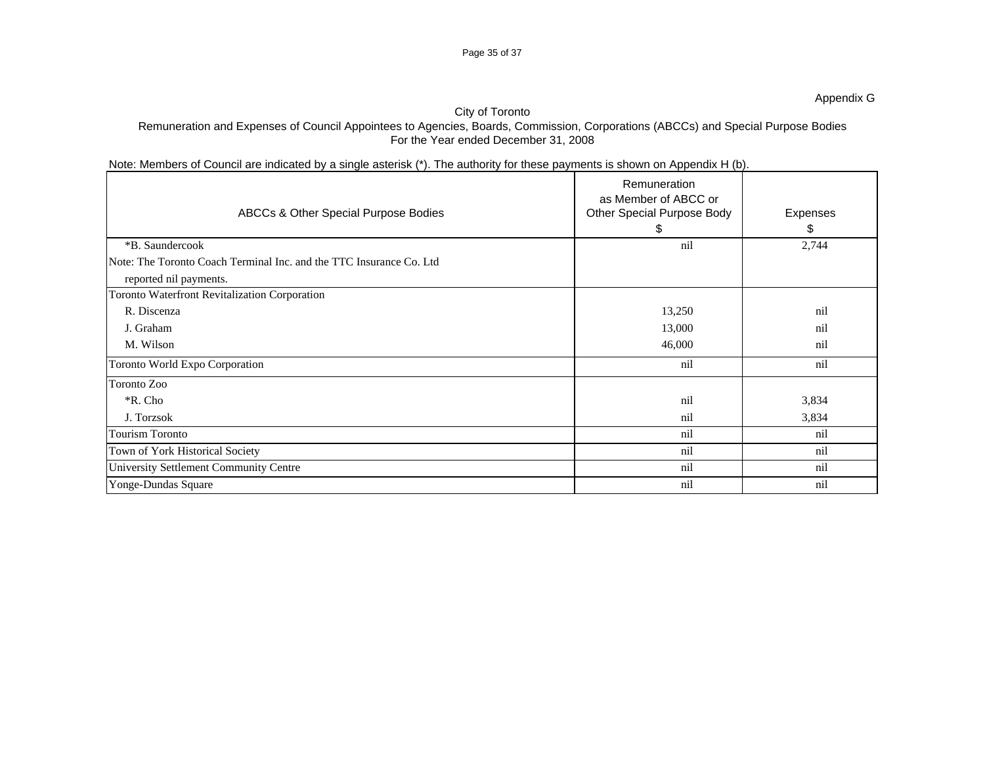### Page 35 of 37

### Appendix G

### City of Toronto

## Remuneration and Expenses of Council Appointees to Agencies, Boards, Commission, Corporations (ABCCs) and Special Purpose Bodies For the Year ended December 31, 2008

## Note: Members of Council are indicated by a single asterisk (\*). The authority for these payments is shown on Appendix H (b).

|                                        |                                                                     | Remuneration                                              |          |
|----------------------------------------|---------------------------------------------------------------------|-----------------------------------------------------------|----------|
|                                        | ABCCs & Other Special Purpose Bodies                                | as Member of ABCC or<br><b>Other Special Purpose Body</b> | Expenses |
|                                        |                                                                     |                                                           |          |
| *B. Saundercook                        |                                                                     |                                                           | 2,744    |
|                                        | Note: The Toronto Coach Terminal Inc. and the TTC Insurance Co. Ltd |                                                           |          |
| reported nil payments.                 |                                                                     |                                                           |          |
|                                        | Toronto Waterfront Revitalization Corporation                       |                                                           |          |
| R. Discenza                            |                                                                     | 13,250                                                    | nil      |
| J. Graham                              |                                                                     | 13,000                                                    | nil      |
| M. Wilson                              |                                                                     | 46,000                                                    | nil      |
| Toronto World Expo Corporation         |                                                                     | nil                                                       | nil      |
| Toronto Zoo                            |                                                                     |                                                           |          |
| *R. Cho                                |                                                                     |                                                           | 3,834    |
| J. Torzsok                             |                                                                     | ni                                                        | 3,834    |
| Tourism Toronto                        |                                                                     | $\sim$ 11.                                                | nil      |
| Town of York Historical Society        |                                                                     |                                                           | nil      |
| University Settlement Community Centre |                                                                     |                                                           | nil      |
| Yonge-Dundas Square                    |                                                                     | ni1.                                                      | nil      |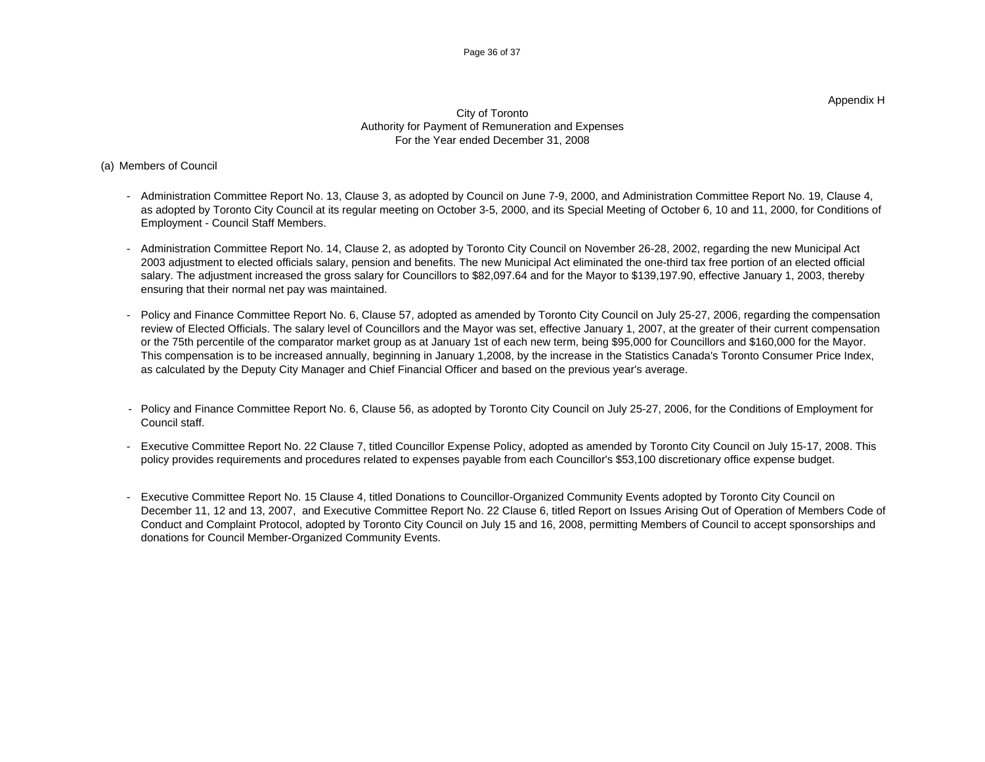### Appendix H

### City of Toronto Authority for Payment of Remuneration and Expenses For the Year ended December 31, 2008

### (a) Members of Council

- Administration Committee Report No. 13, Clause 3, as adopted by Council on June 7-9, 2000, and Administration Committee Report No. 19, Clause 4, as adopted by Toronto City Council at its regular meeting on October 3-5, 2000, and its Special Meeting of October 6, 10 and 11, 2000, for Conditions of Employment - Council Staff Members.
- Administration Committee Report No. 14, Clause 2, as adopted by Toronto City Council on November 26-28, 2002, regarding the new Municipal Act 2003 adjustment to elected officials salary, pension and benefits. The new Municipal Act eliminated the one-third tax free portion of an elected official salary. The adjustment increased the gross salary for Councillors to \$82,097.64 and for the Mayor to \$139,197.90, effective January 1, 2003, thereby ensuring that their normal net pay was maintained.
- Policy and Finance Committee Report No. 6, Clause 57, adopted as amended by Toronto City Council on July 25-27, 2006, regarding the compensation review of Elected Officials. The salary level of Councillors and the Mayor was set, effective January 1, 2007, at the greater of their current compensation or the 75th percentile of the comparator market group as at January 1st of each new term, being \$95,000 for Councillors and \$160,000 for the Mayor. This compensation is to be increased annually, beginning in January 1,2008, by the increase in the Statistics Canada's Toronto Consumer Price Index, as calculated by the Deputy City Manager and Chief Financial Officer and based on the previous year's average.
- Policy and Finance Committee Report No. 6, Clause 56, as adopted by Toronto City Council on July 25-27, 2006, for the Conditions of Employment for Council staff.
- Executive Committee Report No. 22 Clause 7, titled Councillor Expense Policy, adopted as amended by Toronto City Council on July 15-17, 2008. This policy provides requirements and procedures related to expenses payable from each Councillor's \$53,100 discretionary office expense budget.
- Executive Committee Report No. 15 Clause 4, titled Donations to Councillor-Organized Community Events adopted by Toronto City Council on December 11, 12 and 13, 2007, and Executive Committee Report No. 22 Clause 6, titled Report on Issues Arising Out of Operation of Members Code of Conduct and Complaint Protocol, adopted by Toronto City Council on July 15 and 16, 2008, permitting Members of Council to accept sponsorships and donations for Council Member-Organized Community Events.